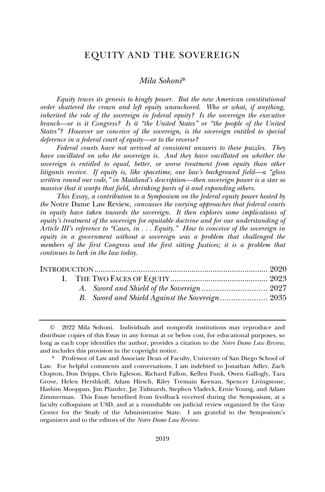# EQUITY AND THE SOVEREIGN

### *Mila Sohoni*\*

*Equity traces its genesis to kingly power. But the new American constitutional order shattered the crown and left equity unanchored. Who or what, if anything, inherited the role of the sovereign in federal equity? Is the sovereign the executive branch—or is it Congress? Is it "the United States" or "the people of the United States"? However we conceive of the sovereign, is the sovereign entitled to special deference in a federal court of equity—or to the reverse?*

*Federal courts have not arrived at consistent answers to these puzzles. They have vacillated on who the sovereign is. And they have vacillated on whether the*  sovereign is entitled to equal, better, or worse treatment from equity than other *litigants receive. If equity is, like spacetime, our law's background field—a "gloss written round our code," in Maitland's description—then sovereign power is a star so massive that it warps that field, shrinking parts of it and expanding others.* 

*This Essay, a contribution to a Symposium on the federal equity power hosted by the* Notre Dame Law Review*, canvasses the varying approaches that federal courts in equity have taken towards the sovereign. It then explores some implications of equity's treatment of the sovereign for equitable doctrine and for our understanding of Article III's reference to "Cases, in . . . Equity." How to conceive of the sovereign in equity in a government without a sovereign was a problem that challenged the members of the first Congress and the first sitting Justices; it is a problem that continues to lurk in the law today.*

<sup>©</sup> 2022 Mila Sohoni. Individuals and nonprofit institutions may reproduce and distribute copies of this Essay in any format at or below cost, for educational purposes, so long as each copy identifies the author, provides a citation to the *Notre Dame Law Review*, and includes this provision in the copyright notice.

<sup>\*</sup> Professor of Law and Associate Dean of Faculty, University of San Diego School of Law. For helpful comments and conversations, I am indebted to Jonathan Adler, Zach Clopton, Don Dripps, Chris Egleson, Richard Fallon, Kellen Funk, Owen Gallogly, Tara Grove, Helen Hershkoff, Adam Hirsch, Riley Tremain Keenan, Spencer Livingstone, Hashim Mooppan, Jim Pfander, Jay Tidmarsh, Stephen Vladeck, Ernie Young, and Adam Zimmerman. This Essay benefited from feedback received during the Symposium, at a faculty colloquium at USD, and at a roundtable on judicial review organized by the Gray Center for the Study of the Administrative State. I am grateful to the Symposium's organizers and to the editors of the *Notre Dame Law Review*.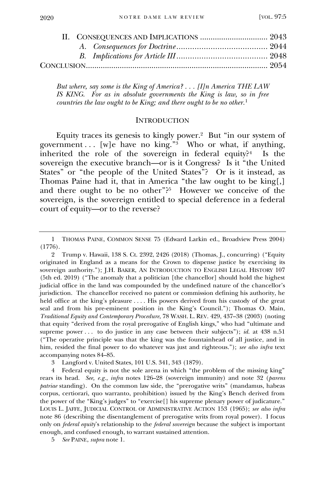*But where, say some is the King of America? . . . [I]n America THE LAW IS KING. For as in absolute governments the King is law, so in free countries the law ought to be King; and there ought to be no other.*<sup>1</sup>

#### **INTRODUCTION**

<span id="page-1-0"></span>Equity traces its genesis to kingly power.<sup>2</sup> But "in our system of government... [w]e have no king."<sup>3</sup> Who or what, if anything, inherited the role of the sovereign in federal equity? $4$  Is the sovereign the executive branch—or is it Congress? Is it "the United States" or "the people of the United States"? Or is it instead, as Thomas Paine had it, that in America "the law ought to be king[,] and there ought to be no other"?<sup>5</sup> However we conceive of the sovereign, is the sovereign entitled to special deference in a federal court of equity—or to the reverse?

3 Langford v. United States, 101 U.S. 341, 343 (1879).

4 Federal equity is not the sole arena in which "the problem of the missing king" rears its head. *See, e.g.*, *infra* notes 126–28 (sovereign immunity) and note 32 (*parens patriae* standing). On the common law side, the "prerogative writs" (mandamus, habeas corpus, certiorari, quo warranto, prohibition) issued by the King's Bench derived from the power of the "King's judges" to "exercise[] his supreme plenary power of judicature." LOUIS L. JAFFE, JUDICIAL CONTROL OF ADMINISTRATIVE ACTION 153 (1965); *see also infra*  note 86 (describing the disentanglement of prerogative writs from royal power). I focus only on *federal equity*'s relationship to the *federal sovereign* because the subject is important enough, and confused enough, to warrant sustained attention.

5 *See* PAINE, *supra* note 1.

<sup>1</sup> THOMAS PAINE, COMMON SENSE 75 (Edward Larkin ed., Broadview Press 2004) (1776).

<sup>2</sup> Trump v. Hawaii, 138 S. Ct. 2392, 2426 (2018) (Thomas, J., concurring) ("Equity originated in England as a means for the Crown to dispense justice by exercising its sovereign authority."); J.H. BAKER, AN INTRODUCTION TO ENGLISH LEGAL HISTORY 107 (5th ed. 2019) ("The anomaly that a politician [the chancellor] should hold the highest judicial office in the land was compounded by the undefined nature of the chancellor's jurisdiction. The chancellor received no patent or commission defining his authority, he held office at the king's pleasure . . . . His powers derived from his custody of the great seal and from his pre-eminent position in the King's Council."); Thomas O. Main, *Traditional Equity and Contemporary Procedure*, 78 WASH. L. REV. 429, 437–38 (2003) (noting that equity "derived from the royal prerogative of English kings," who had "ultimate and supreme power . . . to do justice in any case between their subjects"); *id.* at 438 n.51 ("The operative principle was that the king was the fountainhead of all justice, and in him, resided the final power to do whatever was just and righteous."); *see also infra* text accompanying notes 84–85.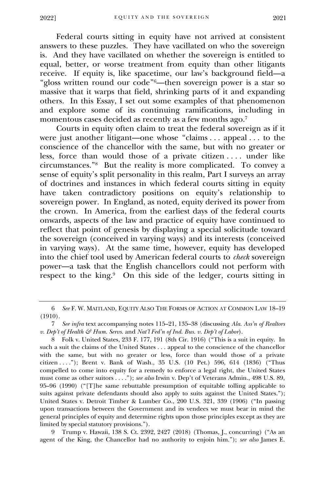Federal courts sitting in equity have not arrived at consistent answers to these puzzles. They have vacillated on who the sovereign is. And they have vacillated on whether the sovereign is entitled to equal, better, or worse treatment from equity than other litigants receive. If equity is, like spacetime, our law's background field—a "gloss written round our code" <sup>6</sup>—then sovereign power is a star so massive that it warps that field, shrinking parts of it and expanding others. In this Essay, I set out some examples of that phenomenon and explore some of its continuing ramifications, including in momentous cases decided as recently as a few months ago.<sup>7</sup>

Courts in equity often claim to treat the federal sovereign as if it were just another litigant—one whose "claims . . . appeal . . . to the conscience of the chancellor with the same, but with no greater or less, force than would those of a private citizen . . . . under like circumstances." 8 But the reality is more complicated. To convey a sense of equity's split personality in this realm, Part I surveys an array of doctrines and instances in which federal courts sitting in equity have taken contradictory positions on equity's relationship to sovereign power. In England, as noted, equity derived its power from the crown. In America, from the earliest days of the federal courts onwards, aspects of the law and practice of equity have continued to reflect that point of genesis by displaying a special solicitude toward the sovereign (conceived in varying ways) and its interests (conceived in varying ways). At the same time, however, equity has developed into the chief tool used by American federal courts to *check* sovereign power—a task that the English chancellors could not perform with respect to the king.<sup>9</sup> On this side of the ledger, courts sitting in

9 Trump v. Hawaii, 138 S. Ct. 2392, 2427 (2018) (Thomas, J., concurring) ("As an agent of the King, the Chancellor had no authority to enjoin him."); *see also* James E.

<sup>6</sup> *See* F. W. MAITLAND, EQUITY ALSO THE FORMS OF ACTION AT COMMON LAW 18–19 (1910).

<sup>7</sup> *See infra* text accompanying notes 115–21, 135–38 (discussing *Ala. Ass'n of Realtors v. Dep't of Health & Hum. Servs.* and *Nat'l Fed'n of Ind. Bus. v. Dep't of Labor*).

<sup>8</sup> Folk v. United States, 233 F. 177, 191 (8th Cir. 1916) ("This is a suit in equity. In such a suit the claims of the United States . . . appeal to the conscience of the chancellor with the same, but with no greater or less, force than would those of a private citizen . . . ."); Brent v. Bank of Wash., 35 U.S. (10 Pet.) 596, 614 (1836) ("Thus compelled to come into equity for a remedy to enforce a legal right, the United States must come as other suitors . . . ."); *see also* Irwin v. Dep't of Veterans Admin., 498 U.S. 89, 95–96 (1990) ("[T]he same rebuttable presumption of equitable tolling applicable to suits against private defendants should also apply to suits against the United States."); United States v. Detroit Timber & Lumber Co., 200 U.S. 321, 339 (1906) ("In passing upon transactions between the Government and its vendees we must bear in mind the general principles of equity and determine rights upon those principles except as they are limited by special statutory provisions.").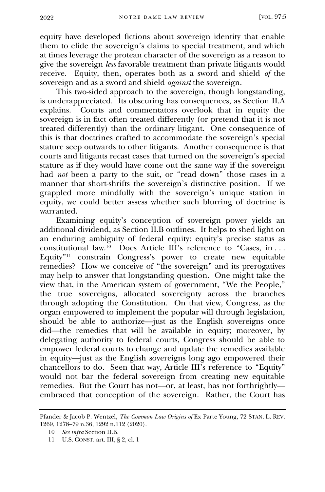equity have developed fictions about sovereign identity that enable them to elide the sovereign's claims to special treatment, and which at times leverage the protean character of the sovereign as a reason to give the sovereign *less* favorable treatment than private litigants would receive. Equity, then, operates both as a sword and shield *of* the sovereign and as a sword and shield *against* the sovereign.

This two-sided approach to the sovereign, though longstanding, is underappreciated. Its obscuring has consequences, as Section II.A explains. Courts and commentators overlook that in equity the sovereign is in fact often treated differently (or pretend that it is not treated differently) than the ordinary litigant. One consequence of this is that doctrines crafted to accommodate the sovereign's special stature seep outwards to other litigants. Another consequence is that courts and litigants recast cases that turned on the sovereign's special stature as if they would have come out the same way if the sovereign had *not* been a party to the suit, or "read down" those cases in a manner that short-shrifts the sovereign's distinctive position. If we grappled more mindfully with the sovereign's unique station in equity, we could better assess whether such blurring of doctrine is warranted.

Examining equity's conception of sovereign power yields an additional dividend, as Section II.B outlines. It helps to shed light on an enduring ambiguity of federal equity: equity's precise status as constitutional law.<sup>10</sup> Does Article III's reference to "Cases, in . . . Equity" <sup>11</sup> constrain Congress's power to create new equitable remedies? How we conceive of "the sovereign" and its prerogatives may help to answer that longstanding question. One might take the view that, in the American system of government, "We the People," the true sovereigns, allocated sovereignty across the branches through adopting the Constitution. On that view, Congress, as the organ empowered to implement the popular will through legislation, should be able to authorize—just as the English sovereigns once did—the remedies that will be available in equity; moreover, by delegating authority to federal courts, Congress should be able to empower federal courts to change and update the remedies available in equity—just as the English sovereigns long ago empowered their chancellors to do. Seen that way, Article III's reference to "Equity" would not bar the federal sovereign from creating new equitable remedies. But the Court has not—or, at least, has not forthrightly embraced that conception of the sovereign. Rather, the Court has

Pfander & Jacob P. Wentzel, *The Common Law Origins of* Ex Parte Young, 72 STAN. L. REV. 1269, 1278–79 n.36, 1292 n.112 (2020).

<sup>10</sup> *See infra* Section II.B.

<sup>11</sup> U.S. CONST. art. III, § 2, cl. 1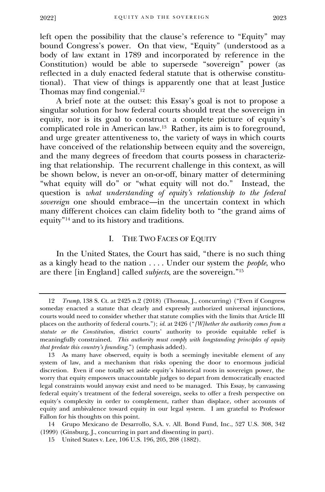left open the possibility that the clause's reference to "Equity" may bound Congress's power. On that view, "Equity" (understood as a body of law extant in 1789 and incorporated by reference in the Constitution) would be able to supersede "sovereign" power (as reflected in a duly enacted federal statute that is otherwise constitutional). That view of things is apparently one that at least Justice Thomas may find congenial.<sup>12</sup>

A brief note at the outset: this Essay's goal is not to propose a singular solution for how federal courts should treat the sovereign in equity, nor is its goal to construct a complete picture of equity's complicated role in American law.<sup>13</sup> Rather, its aim is to foreground, and urge greater attentiveness to, the variety of ways in which courts have conceived of the relationship between equity and the sovereign, and the many degrees of freedom that courts possess in characterizing that relationship. The recurrent challenge in this context, as will be shown below, is never an on-or-off, binary matter of determining "what equity will do" or "what equity will not do." Instead, the question is *what understanding of equity's relationship to the federal sovereign* one should embrace—in the uncertain context in which many different choices can claim fidelity both to "the grand aims of equity" <sup>14</sup> and to its history and traditions.

## I. THE TWO FACES OF EQUITY

<span id="page-4-0"></span>In the United States, the Court has said, "there is no such thing as a kingly head to the nation . . . . Under our system the *people*, who are there [in England] called *subjects*, are the sovereign." 15

14 Grupo Mexicano de Desarrollo, S.A. v. All. Bond Fund, Inc., 527 U.S. 308, 342 (1999) (Ginsburg, J., concurring in part and dissenting in part).

<sup>12</sup> *Trump*, 138 S. Ct. at 2425 n.2 (2018) (Thomas, J., concurring) ("Even if Congress someday enacted a statute that clearly and expressly authorized universal injunctions, courts would need to consider whether that statute complies with the limits that Article III places on the authority of federal courts."); *id.* at 2426 ("*[W]hether the authority comes from a statute or the Constitution*, district courts' authority to provide equitable relief is meaningfully constrained. *This authority must comply with longstanding principles of equity that predate this country's founding*.") (emphasis added).

<sup>13</sup> As many have observed, equity is both a seemingly inevitable element of any system of law, and a mechanism that risks opening the door to enormous judicial discretion. Even if one totally set aside equity's historical roots in sovereign power, the worry that equity empowers unaccountable judges to depart from democratically enacted legal constraints would anyway exist and need to be managed. This Essay, by canvassing federal equity's treatment of the federal sovereign, seeks to offer a fresh perspective on equity's complexity in order to complement, rather than displace, other accounts of equity and ambivalence toward equity in our legal system. I am grateful to Professor Fallon for his thoughts on this point.

<sup>15</sup> United States v. Lee, 106 U.S. 196, 205, 208 (1882).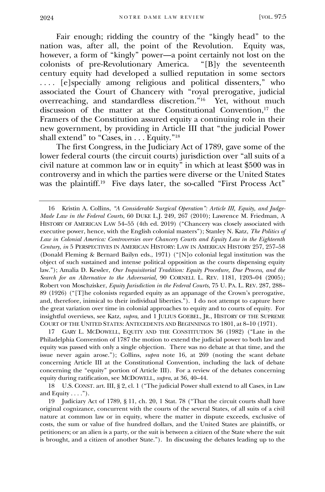Fair enough; ridding the country of the "kingly head" to the nation was, after all, the point of the Revolution. Equity was, however, a form of "kingly" power—a point certainly not lost on the colonists of pre-Revolutionary America. "[B]y the seventeenth colonists of pre-Revolutionary America. century equity had developed a sullied reputation in some sectors . . . . [e]specially among religious and political dissenters," who associated the Court of Chancery with "royal prerogative, judicial overreaching, and standardless discretion." 16 Yet, without much discussion of the matter at the Constitutional Convention,<sup>17</sup> the Framers of the Constitution assured equity a continuing role in their new government, by providing in Article III that "the judicial Power shall extend" to "Cases, in . . . Equity." 18

The first Congress, in the Judiciary Act of 1789, gave some of the lower federal courts (the circuit courts) jurisdiction over "all suits of a civil nature at common law or in equity" in which at least \$500 was in controversy and in which the parties were diverse or the United States was the plaintiff.<sup>19</sup> Five days later, the so-called "First Process Act"

17 GARY L. MCDOWELL, EQUITY AND THE CONSTITUTION 36 (1982) ("Late in the Philadelphia Convention of 1787 the motion to extend the judicial power to both law and equity was passed with only a single objection. There was no debate at that time, and the issue never again arose."); Collins, *supra* note 16, at 269 (noting the scant debate concerning Article III at the Constitutional Convention, including the lack of debate concerning the "equity" portion of Article III). For a review of the debates concerning equity during ratification, see MCDOWELL, *supra*, at 36, 40–44.

18 U.S. CONST. art. III, § 2, cl. 1 ("The judicial Power shall extend to all Cases, in Law and Equity  $\dots$ .").

19 Judiciary Act of 1789, § 11, ch. 20, 1 Stat. 78 ("That the circuit courts shall have original cognizance, concurrent with the courts of the several States, of all suits of a civil nature at common law or in equity, where the matter in dispute exceeds, exclusive of costs, the sum or value of five hundred dollars, and the United States are plaintiffs, or petitioners; or an alien is a party, or the suit is between a citizen of the State where the suit is brought, and a citizen of another State."). In discussing the debates leading up to the

<sup>16</sup> Kristin A. Collins, *"A Considerable Surgical Operation": Article III, Equity, and Judge-Made Law in the Federal Courts*, 60 DUKE L.J. 249, 267 (2010); Lawrence M. Friedman, A HISTORY OF AMERICAN LAW 54–55 (4th ed. 2019) ("Chancery was closely associated with executive power, hence, with the English colonial masters"); Stanley N. Katz, *The Politics of Law in Colonial America: Controversies over Chancery Courts and Equity Law in the Eighteenth Century*, *in* 5 PERSPECTIVES IN AMERICAN HISTORY: LAW IN AMERICAN HISTORY 257, 257–58 (Donald Fleming & Bernard Bailyn eds., 1971) ("[N]o colonial legal institution was the object of such sustained and intense political opposition as the courts dispensing equity law."); Amalia D. Kessler, *Our Inquisitorial Tradition: Equity Procedure, Due Process, and the Search for an Alternative to the Adversarial*, 90 CORNELL L. REV. 1181, 1203–04 (2005); Robert von Moschzisker, *Equity Jurisdiction in the Federal Courts*, 75 U. PA. L. REV. 287, 288– 89 (1926) ("[T]he colonists regarded equity as an appanage of the Crown's prerogative, and, therefore, inimical to their individual liberties."). I do not attempt to capture here the great variation over time in colonial approaches to equity and to courts of equity. For insightful overviews, see Katz, *supra*, and 1 JULIUS GOEBEL, JR., HISTORY OF THE SUPREME COURT OF THE UNITED STATES: ANTECEDENTS AND BEGINNINGS TO 1801, at 8–10 (1971).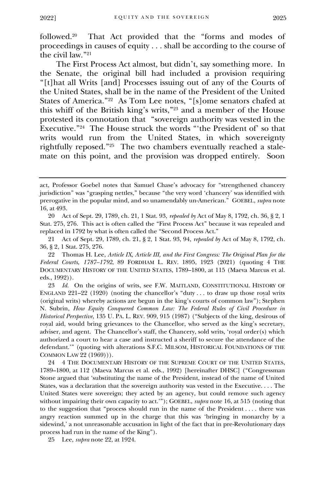followed.<sup>20</sup> That Act provided that the "forms and modes of proceedings in causes of equity . . . shall be according to the course of the civil law." 21

The First Process Act almost, but didn't, say something more. In the Senate, the original bill had included a provision requiring "[t]hat all Writs [and] Processes issuing out of any of the Courts of the United States, shall be in the name of the President of the United States of America." 22 As Tom Lee notes, "[s]ome senators chafed at this whiff of the British king's writs," <sup>23</sup> and a member of the House protested its connotation that "sovereign authority was vested in the Executive." 24 The House struck the words "'the President of' so that writs would run from the United States, in which sovereignty rightfully reposed." 25 The two chambers eventually reached a stalemate on this point, and the provision was dropped entirely. Soon

23 *Id.* On the origins of writs, see F.W. MAITLAND, CONSTITUTIONAL HISTORY OF ENGLAND  $221-22$  (1920) (noting the chancellor's "duty ... to draw up those royal writs (original writs) whereby actions are begun in the king's courts of common law"); Stephen N. Subrin, *How Equity Conquered Common Law: The Federal Rules of Civil Procedure in Historical Perspective*, 135 U. PA. L. REV. 909, 915 (1987) ("Subjects of the king, desirous of royal aid, would bring grievances to the Chancellor, who served as the king's secretary, adviser, and agent. The Chancellor's staff, the Chancery, sold writs, 'royal order(s) which authorized a court to hear a case and instructed a sheriff to secure the attendance of the defendant.'" (quoting with alterations S.F.C. MILSOM, HISTORICAL FOUNDATIONS OF THE COMMON LAW 22 (1969))).

24 4 THE DOCUMENTARY HISTORY OF THE SUPREME COURT OF THE UNITED STATES, 1789–1800, at 112 (Maeva Marcus et al. eds., 1992) [hereinafter DHSC] ("Congressman Stone argued that 'substituting the name of the President, instead of the name of United States, was a declaration that the sovereign authority was vested in the Executive. . . . The United States were sovereign; they acted by an agency, but could remove such agency without impairing their own capacity to act.'"); GOEBEL, *supra* note 16, at 515 (noting that to the suggestion that "process should run in the name of the President . . . . there was angry reaction summed up in the charge that this was 'bringing in monarchy by a sidewind,' a not unreasonable accusation in light of the fact that in pre-Revolutionary days process had run in the name of the King").

25 Lee, *supra* note 22, at 1924.

act, Professor Goebel notes that Samuel Chase's advocacy for "strengthened chancery jurisdiction" was "grasping nettles," because "the very word 'chancery' was identified with prerogative in the popular mind, and so unamendably un-American." GOEBEL, *supra* note 16, at 493.

<sup>20</sup> Act of Sept. 29, 1789, ch. 21, 1 Stat. 93, *repealed by* Act of May 8, 1792, ch. 36, § 2, 1 Stat. 275, 276. This act is often called the "First Process Act" because it was repealed and replaced in 1792 by what is often called the "Second Process Act."

<sup>21</sup> Act of Sept. 29, 1789, ch. 21, § 2, 1 Stat. 93, 94, *repealed by* Act of May 8, 1792, ch. 36, § 2, 1 Stat. 275, 276.

<sup>22</sup> Thomas H. Lee, *Article IX, Article III, and the First Congress: The Original Plan for the Federal Courts, 1787–1792*, 89 FORDHAM L. REV. 1895, 1923 (2021) (quoting 4 THE DOCUMENTARY HISTORY OF THE UNITED STATES, 1789–1800, at 115 (Maeva Marcus et al. eds., 1992)).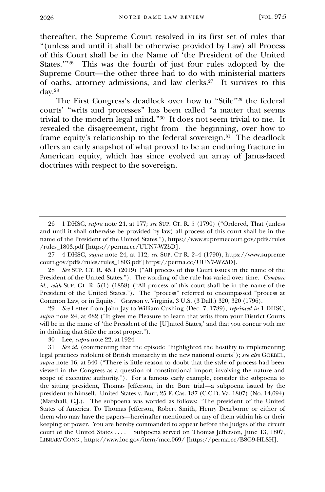thereafter, the Supreme Court resolved in its first set of rules that "(unless and until it shall be otherwise provided by Law) all Process of this Court shall be in the Name of 'the President of the United States.'" 26 This was the fourth of just four rules adopted by the Supreme Court—the other three had to do with ministerial matters of oaths, attorney admissions, and law clerks.<sup>27</sup> It survives to this day.<sup>28</sup>

The First Congress's deadlock over how to "Stile" <sup>29</sup> the federal courts' "writs and processes" has been called "a matter that seems trivial to the modern legal mind." 30 It does not seem trivial to me. It revealed the disagreement, right from the beginning, over how to frame equity's relationship to the federal sovereign.<sup>31</sup> The deadlock offers an early snapshot of what proved to be an enduring fracture in American equity, which has since evolved an array of Janus-faced doctrines with respect to the sovereign.

29 *See* Letter from John Jay to William Cushing (Dec. 7, 1789), *reprinted in* 1 DHSC, *supra* note 24, at 682 ("It gives me Pleasure to learn that writs from your District Courts will be in the name of 'the President of the [U]nited States,' and that you concur with me in thinking that Stile the most proper.").

31 *See id.* (commenting that the episode "highlighted the hostility to implementing legal practices redolent of British monarchy in the new national courts"); *see also* GOEBEL, *supra* note 16, at 540 ("There is little reason to doubt that the style of process had been viewed in the Congress as a question of constitutional import involving the nature and scope of executive authority."). For a famous early example, consider the subpoena to the sitting president, Thomas Jefferson, in the Burr trial—a subpoena issued by the president to himself. United States v. Burr, 25 F. Cas. 187 (C.C.D. Va. 1807) (No. 14,694) (Marshall, C.J.). The subpoena was worded as follows: "The president of the United States of America. To Thomas Jefferson, Robert Smith, Henry Dearborne or either of them who may have the papers—hereinafter mentioned or any of them within his or their keeping or power. You are hereby commanded to appear before the Judges of the circuit court of the United States . . . ." Subpoena served on Thomas Jefferson, June 13, 1807, LIBRARY CONG., https://www.loc.gov/item/mcc.069/ [https://perma.cc/B8G9-HLSH].

<sup>26</sup> 1 DHSC, *supra* note 24, at 177; *see* SUP. CT. R. 5 (1790) ("Ordered, That (unless and until it shall otherwise be provided by law) all process of this court shall be in the name of the President of the United States."), https://www.supremecourt.gov/pdfs/rules /rules\_1803.pdf [https://perma.cc/UUN7-WZ5D].

<sup>27</sup> 4 DHSC, *supra* note 24, at 112; *see* SUP. CT R. 2–4 (1790), https://www.supreme court.gov/pdfs/rules/rules\_1803.pdf [https://perma.cc/UUN7-WZ5D].

<sup>28</sup> *See* SUP. CT. R. 45.1 (2019) ("All process of this Court issues in the name of the President of the United States."). The wording of the rule has varied over time. *Compare id., with* SUP. CT. R. 5(1) (1858) ("All process of this court shall be in the name of the President of the United States."). The "process" referred to encompassed "process at Common Law, or in Equity." Grayson v. Virginia, 3 U.S. (3 Dall.) 320, 320 (1796).

<sup>30</sup> Lee, *supra* note 22, at 1924.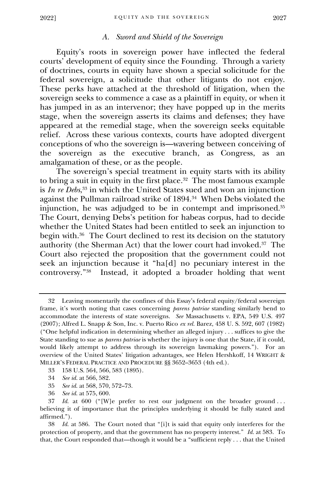#### 2022]

## *A. Sword and Shield of the Sovereign*

<span id="page-8-0"></span>Equity's roots in sovereign power have inflected the federal courts' development of equity since the Founding. Through a variety of doctrines, courts in equity have shown a special solicitude for the federal sovereign, a solicitude that other litigants do not enjoy. These perks have attached at the threshold of litigation, when the sovereign seeks to commence a case as a plaintiff in equity, or when it has jumped in as an intervenor; they have popped up in the merits stage, when the sovereign asserts its claims and defenses; they have appeared at the remedial stage, when the sovereign seeks equitable relief. Across these various contexts, courts have adopted divergent conceptions of who the sovereign is—wavering between conceiving of the sovereign as the executive branch, as Congress, as an amalgamation of these, or as the people.

The sovereign's special treatment in equity starts with its ability to bring a suit in equity in the first place.<sup>32</sup> The most famous example is *In re Debs*, <sup>33</sup> in which the United States sued and won an injunction against the Pullman railroad strike of 1894.<sup>34</sup> When Debs violated the injunction, he was adjudged to be in contempt and imprisoned.<sup>35</sup> The Court, denying Debs's petition for habeas corpus, had to decide whether the United States had been entitled to seek an injunction to begin with.<sup>36</sup> The Court declined to rest its decision on the statutory authority (the Sherman Act) that the lower court had invoked.<sup>37</sup> The Court also rejected the proposition that the government could not seek an injunction because it "ha[d] no pecuniary interest in the controversy." 38 Instead, it adopted a broader holding that went

<sup>32</sup> Leaving momentarily the confines of this Essay's federal equity/federal sovereign frame, it's worth noting that cases concerning *parens patriae* standing similarly bend to accommodate the interests of state sovereigns. *See* Massachusetts v. EPA, 549 U.S. 497 (2007); Alfred L. Snapp & Son, Inc. v. Puerto Rico *ex rel.* Barez, 458 U. S. 592, 607 (1982) ("One helpful indication in determining whether an alleged injury . . . suffices to give the State standing to sue as *parens patriae* is whether the injury is one that the State, if it could, would likely attempt to address through its sovereign lawmaking powers."). For an overview of the United States' litigation advantages, see Helen Hershkoff, 14 WRIGHT & MILLER'S FEDERAL PRACTICE AND PROCEDURE §§ 3652–3653 (4th ed.).

<sup>33</sup> 158 U.S. 564, 566, 583 (1895).

<sup>34</sup> *See id.* at 566, 582.

<sup>35</sup> *See id.* at 568, 570, 572–73.

<sup>36</sup> *See id.* at 575, 600.

<sup>37</sup> *Id.* at 600 ("[W]e prefer to rest our judgment on the broader ground . . . believing it of importance that the principles underlying it should be fully stated and affirmed.").

<sup>38</sup> *Id.* at 586. The Court noted that "[i]t is said that equity only interferes for the protection of property, and that the government has no property interest." *Id.* at 583. To that, the Court responded that—though it would be a "sufficient reply . . . that the United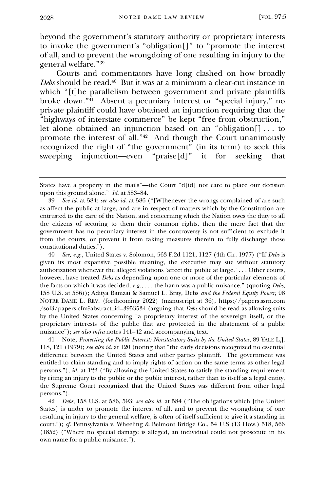beyond the government's statutory authority or proprietary interests to invoke the government's "obligation[]" to "promote the interest of all, and to prevent the wrongdoing of one resulting in injury to the general welfare." 39

Courts and commentators have long clashed on how broadly *Debs* should be read.<sup>40</sup> But it was at a minimum a clear-cut instance in which "[t]he parallelism between government and private plaintiffs broke down." 41 Absent a pecuniary interest or "special injury," no private plaintiff could have obtained an injunction requiring that the "highways of interstate commerce" be kept "free from obstruction," let alone obtained an injunction based on an "obligation[] . . . to promote the interest of all." 42 And though the Court unanimously recognized the right of "the government" (in its term) to seek this sweeping injunction—even "praise[d]" it for seeking that

40 *See, e.g.*, United States v. Solomon, 563 F.2d 1121, 1127 (4th Cir. 1977) ("If *Debs* is given its most expansive possible meaning, the executive may sue without statutory authorization whenever the alleged violations 'affect the public at large.' . . . Other courts, however, have treated *Debs* as depending upon one or more of the particular elements of the facts on which it was decided, *e.g.*, . . . the harm was a public nuisance." (quoting *Debs*, 158 U.S. at 586)); Aditya Bamzai & Samuel L. Bray, Debs *and the Federal Equity Power*, 98 NOTRE DAME L. REV. (forthcoming 2022) (manuscript at 36), https://papers.ssrn.com /sol3/papers.cfm?abstract\_id=3953534 (arguing that *Debs* should be read as allowing suits by the United States concerning "a proprietary interest of the sovereign itself, or the proprietary interests of the public that are protected in the abatement of a public nuisance"); *see also infra* notes 141–42 and accompanying text.

41 Note*, Protecting the Public Interest: Nonstatutory Suits by the United States*, 89 YALE L.J. 118, 121 (1979); *see also id.* at 120 (noting that "the early decisions recognized no essential difference between the United States and other parties plaintiff. The government was entitled to claim standing and to imply rights of action on the same terms as other legal persons."); *id.* at 122 ("By allowing the United States to satisfy the standing requirement by citing an injury to the public or the public interest, rather than to itself as a legal entity, the Supreme Court recognized that the United States was different from other legal persons.").

42 *Debs*, 158 U.S. at 586, 593; *see also id.* at 584 ("The obligations which [the United States] is under to promote the interest of all, and to prevent the wrongdoing of one resulting in injury to the general welfare, is often of itself sufficient to give it a standing in court."); *cf.* Pennsylvania v. Wheeling & Belmont Bridge Co., 54 U.S (13 How.) 518, 566 (1852) ("Where no special damage is alleged, an individual could not prosecute in his own name for a public nuisance.").

States have a property in the mails"—the Court "d[id] not care to place our decision upon this ground alone." *Id.* at 583–84.

<sup>39</sup> *See id.* at 584; *see also id.* at 586 ("[W]henever the wrongs complained of are such as affect the public at large, and are in respect of matters which by the Constitution are entrusted to the care of the Nation, and concerning which the Nation owes the duty to all the citizens of securing to them their common rights, then the mere fact that the government has no pecuniary interest in the controversy is not sufficient to exclude it from the courts, or prevent it from taking measures therein to fully discharge those constitutional duties.").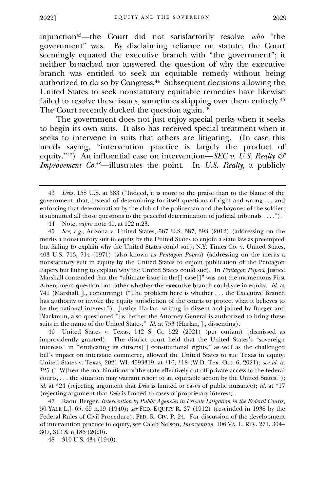injunction43—the Court did not satisfactorily resolve *who* "the government" was. By disclaiming reliance on statute, the Court seemingly equated the executive branch with "the government"; it neither broached nor answered the question of why the executive branch was entitled to seek an equitable remedy without being authorized to do so by Congress.<sup>44</sup> Subsequent decisions allowing the United States to seek nonstatutory equitable remedies have likewise failed to resolve these issues, sometimes skipping over them entirely.<sup>45</sup> The Court recently ducked the question again.<sup>46</sup>

The government does not just enjoy special perks when it seeks to begin its own suits. It also has received special treatment when it seeks to intervene in suits that others are litigating. (In case this needs saying, "intervention practice is largely the product of equity." <sup>47</sup>) An influential case on intervention—*SEC v. U.S. Realty & Improvement Co.* <sup>48</sup>—illustrates the point. In *U.S. Realty*, a publicly

44 Note, *supra* note 41, at 122 n.23.

45 *See, e.g.*, Arizona v. United States, 567 U.S. 387, 393 (2012) (addressing on the merits a nonstatutory suit in equity by the United States to enjoin a state law as preempted but failing to explain why the United States could sue); N.Y. Times Co. v. United States, 403 U.S. 713, 714 (1971) (also known as *Pentagon Papers*) (addressing on the merits a nonstatutory suit in equity by the United States to enjoin publication of the Pentagon Papers but failing to explain why the United States could sue). In *Pentagon Papers*, Justice Marshall contended that the "ultimate issue in the[] case[]" was not the momentous First Amendment question but rather whether the executive branch could sue in equity. *Id.* at 741 (Marshall, J., concurring) ("The problem here is whether . . . the Executive Branch has authority to invoke the equity jurisdiction of the courts to protect what it believes to be the national interest."). Justice Harlan, writing in dissent and joined by Burger and Blackmun, also questioned "[w]hether the Attorney General is authorized to bring these suits in the name of the United States." *Id.* at 753 (Harlan, J., dissenting).

46 United States v. Texas, 142 S. Ct. 522 (2021) (per curiam) (dismissed as improvidently granted). The district court held that the United States's "sovereign interests" in "vindicating its citizens['] constitutional rights," as well as the challenged bill's impact on interstate commerce, allowed the United States to sue Texas in equity. United States v. Texas, 2021 WL 4593319, at \*16, \*18 (W.D. Tex. Oct. 6, 2021); *see id.* at \*25 ("[W]hen the machinations of the state effectively cut off private access to the federal courts, . . . the situation may warrant resort to an equitable action by the United States."); *id.* at \*24 (rejecting argument that *Debs* is limited to cases of public nuisance); *id.* at \*17 (rejecting argument that *Debs* is limited to cases of proprietary interest).

47 Raoul Berger, *Intervention by Public Agencies in Private Litigation in the Federal Courts*, 50 YALE L.J. 65, 69 n.19 (1940); *see* FED. EQUITY R. 37 (1912) (rescinded in 1938 by the Federal Rules of Civil Procedure); FED. R. CIV. P. 24. For discussion of the development of intervention practice in equity, see Caleb Nelson, *Intervention*, 106 VA. L. REV. 271, 304– 307, 313 & n.186 (2020).

48 310 U.S. 434 (1940).

<sup>43</sup> *Debs*, 158 U.S. at 583 ("Indeed, it is more to the praise than to the blame of the government, that, instead of determining for itself questions of right and wrong . . . and enforcing that determination by the club of the policeman and the bayonet of the soldier, it submitted all those questions to the peaceful determination of judicial tribunals . . . .").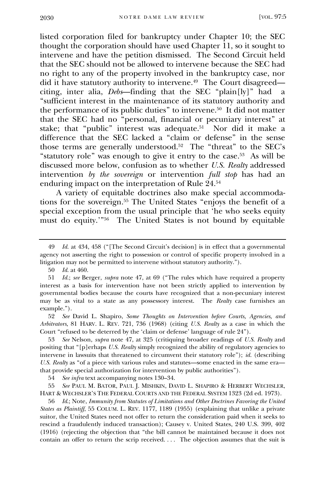listed corporation filed for bankruptcy under Chapter 10; the SEC thought the corporation should have used Chapter 11, so it sought to intervene and have the petition dismissed. The Second Circuit held that the SEC should not be allowed to intervene because the SEC had no right to any of the property involved in the bankruptcy case, nor did it have statutory authority to intervene.<sup>49</sup> The Court disagreed citing, inter alia, *Debs*—finding that the SEC "plain[ly]" had a "sufficient interest in the maintenance of its statutory authority and the performance of its public duties" to intervene.<sup>50</sup> It did not matter that the SEC had no "personal, financial or pecuniary interest" at stake; that "public" interest was adequate.<sup>51</sup> Nor did it make a difference that the SEC lacked a "claim or defense" in the sense those terms are generally understood.<sup>52</sup> The "threat" to the SEC's "statutory role" was enough to give it entry to the case.<sup>53</sup> As will be discussed more below, confusion as to whether *U.S. Realty* addressed intervention *by the sovereign* or intervention *full stop* has had an enduring impact on the interpretation of Rule 24.<sup>54</sup>

A variety of equitable doctrines also make special accommodations for the sovereign.<sup>55</sup> The United States "enjoys the benefit of a special exception from the usual principle that 'he who seeks equity must do equity.'" 56 The United States is not bound by equitable

52 *See* David L. Shapiro, *Some Thoughts on Intervention before Courts, Agencies, and Arbitrators*, 81 HARV. L. REV. 721, 736 (1968) (citing *U.S. Realty* as a case in which the Court "refused to be deterred by the 'claim or defense' language of rule 24").

53 *See* Nelson, *supra* note 47, at 325 (critiquing broader readings of *U.S. Realty* and positing that "[p]erhaps *U.S. Realty* simply recognized the ability of regulatory agencies to intervene in lawsuits that threatened to circumvent their statutory role"); *id.* (describing *U.S. Realty* as "of a piece with various rules and statutes—some enacted in the same era that provide special authorization for intervention by public authorities").

54 *See infra* text accompanying notes 130–34.

55 *See* PAUL M. BATOR, PAUL J. MISHKIN, DAVID L. SHAPIRO & HERBERT WECHSLER, HART & WECHSLER'S THE FEDERAL COURTS AND THE FEDERAL SYSTEM 1323 (2d ed. 1973).

56 *Id*.; Note, *Immunity from Statutes of Limitations and Other Doctrines Favoring the United States as Plaintiff*, 55 COLUM. L. REV. 1177, 1189 (1955) (explaining that unlike a private suitor, the United States need not offer to return the consideration paid when it seeks to rescind a fraudulently induced transaction); Causey v. United States, 240 U.S. 399, 402 (1916) (rejecting the objection that "the bill cannot be maintained because it does not contain an offer to return the scrip received. . . . The objection assumes that the suit is

<sup>49</sup> *Id.* at 434, 458 ("[The Second Circuit's decision] is in effect that a governmental agency not asserting the right to possession or control of specific property involved in a litigation may not be permitted to intervene without statutory authority.").

<sup>50</sup> *Id.* at 460.

<sup>51</sup> *Id.*; *see* Berger, *supra* note 47, at 69 ("The rules which have required a property interest as a basis for intervention have not been strictly applied to intervention by governmental bodies because the courts have recognized that a non-pecuniary interest may be as vital to a state as any possessory interest. The *Realty* case furnishes an example.").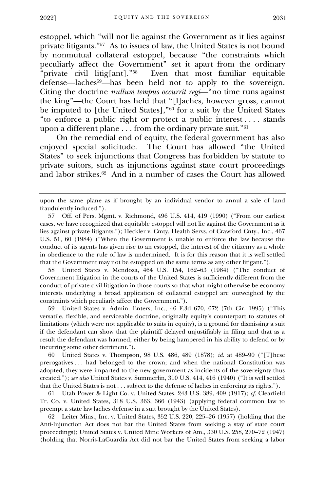estoppel, which "will not lie against the Government as it lies against private litigants." 57 As to issues of law, the United States is not bound by nonmutual collateral estoppel, because "the constraints which peculiarly affect the Government" set it apart from the ordinary "private civil litig[ant]." 58 Even that most familiar equitable defense—laches59—has been held not to apply to the sovereign. Citing the doctrine *nullum tempus occurrit regi*—"no time runs against the king"—the Court has held that "[l]aches, however gross, cannot be imputed to [the United States]," <sup>60</sup> for a suit by the United States "to enforce a public right or protect a public interest . . . . stands upon a different plane . . . from the ordinary private suit." $\rm ^{61}$ 

On the remedial end of equity, the federal government has also enjoyed special solicitude. The Court has allowed "the United States" to seek injunctions that Congress has forbidden by statute to private suitors, such as injunctions against state court proceedings and labor strikes.<sup>62</sup> And in a number of cases the Court has allowed

58 United States v. Mendoza, 464 U.S. 154, 162–63 (1984) ("The conduct of Government litigation in the courts of the United States is sufficiently different from the conduct of private civil litigation in those courts so that what might otherwise be economy interests underlying a broad application of collateral estoppel are outweighed by the constraints which peculiarly affect the Government.").

59 United States v. Admin. Enters, Inc., 46 F.3d 670, 672 (7th Cir. 1995) ("This versatile, flexible, and serviceable doctrine, originally equity's counterpart to statutes of limitations (which were not applicable to suits in equity), is a ground for dismissing a suit if the defendant can show that the plaintiff delayed unjustifiably in filing and that as a result the defendant was harmed, either by being hampered in his ability to defend or by incurring some other detriment.").

60 United States v. Thompson, 98 U.S. 486, 489 (1878); *id.* at 489–90 ("[T]hese prerogatives . . . had belonged to the crown; and when the national Constitution was adopted, they were imparted to the new government as incidents of the sovereignty thus created."); *see also* United States v. Summerlin, 310 U.S. 414, 416 (1940) ("It is well settled that the United States is not . . . subject to the defense of laches in enforcing its rights.").

61 Utah Power & Light Co. v. United States, 243 U.S. 389, 409 (1917); *cf.* Clearfield Tr. Co. v. United States, 318 U.S. 363, 366 (1943) (applying federal common law to preempt a state law laches defense in a suit brought by the United States).

62 Leiter Mins., Inc. v. United States, 352 U.S. 220, 225–26 (1957) (holding that the Anti-Injunction Act does not bar the United States from seeking a stay of state court proceedings); United States v. United Mine Workers of Am., 330 U.S. 258, 270–72 (1947) (holding that Norris-LaGuardia Act did not bar the United States from seeking a labor

upon the same plane as if brought by an individual vendor to annul a sale of land fraudulently induced.").

<sup>57</sup> Off. of Pers. Mgmt. v. Richmond, 496 U.S. 414, 419 (1990) ("From our earliest cases, we have recognized that equitable estoppel will not lie against the Government as it lies against private litigants."); Heckler v. Cmty. Health Servs. of Crawford Cnty., Inc., 467 U.S. 51, 60 (1984) ("When the Government is unable to enforce the law because the conduct of its agents has given rise to an estoppel, the interest of the citizenry as a whole in obedience to the rule of law is undermined. It is for this reason that it is well settled that the Government may not be estopped on the same terms as any other litigant.").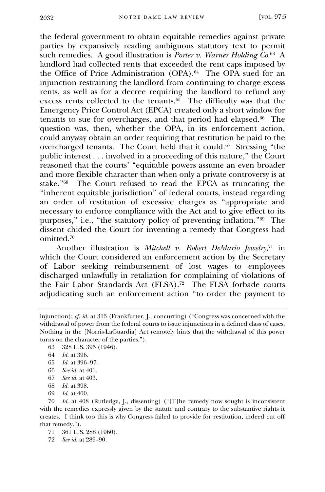the federal government to obtain equitable remedies against private parties by expansively reading ambiguous statutory text to permit such remedies. A good illustration is *Porter v. Warner Holding Co*. 63 A landlord had collected rents that exceeded the rent caps imposed by the Office of Price Administration (OPA).<sup>64</sup> The OPA sued for an injunction restraining the landlord from continuing to charge excess rents, as well as for a decree requiring the landlord to refund any excess rents collected to the tenants.<sup>65</sup> The difficulty was that the Emergency Price Control Act (EPCA) created only a short window for tenants to sue for overcharges, and that period had elapsed.<sup>66</sup> The question was, then, whether the OPA, in its enforcement action, could anyway obtain an order requiring that restitution be paid to the overcharged tenants. The Court held that it could.<sup>67</sup> Stressing "the public interest . . . involved in a proceeding of this nature," the Court reasoned that the courts' "equitable powers assume an even broader and more flexible character than when only a private controversy is at stake." 68 The Court refused to read the EPCA as truncating the "inherent equitable jurisdiction" of federal courts, instead regarding an order of restitution of excessive charges as "appropriate and necessary to enforce compliance with the Act and to give effect to its purposes," i.e., "the statutory policy of preventing inflation." 69 The dissent chided the Court for inventing a remedy that Congress had omitted.<sup>70</sup>

Another illustration is *Mitchell v. Robert DeMario Jewelry*, <sup>71</sup> in which the Court considered an enforcement action by the Secretary of Labor seeking reimbursement of lost wages to employees discharged unlawfully in retaliation for complaining of violations of the Fair Labor Standards Act (FLSA).<sup>72</sup> The FLSA forbade courts adjudicating such an enforcement action "to order the payment to

- 66 *See id.* at 401.
- 67 *See id.* at 403.
- 68 *Id.* at 398.
- 69 *Id.* at 400.

70 *Id.* at 408 (Rutledge, J., dissenting) ("[T]he remedy now sought is inconsistent with the remedies expressly given by the statute and contrary to the substantive rights it creates. I think too this is why Congress failed to provide for restitution, indeed cut off that remedy.").

71 361 U.S. 288 (1960).

72 *See id.* at 289–90.

injunction); *cf. id.* at 313 (Frankfurter, J., concurring) ("Congress was concerned with the withdrawal of power from the federal courts to issue injunctions in a defined class of cases. Nothing in the [Norris-LaGuardia] Act remotely hints that the withdrawal of this power turns on the character of the parties.").

<sup>63</sup> 328 U.S. 395 (1946).

<sup>64</sup> *Id.* at 396.

<sup>65</sup> *Id.* at 396–97.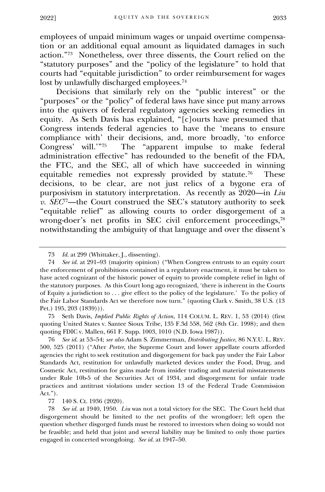employees of unpaid minimum wages or unpaid overtime compensation or an additional equal amount as liquidated damages in such action." 73 Nonetheless, over three dissents, the Court relied on the "statutory purposes" and the "policy of the legislature" to hold that courts had "equitable jurisdiction" to order reimbursement for wages lost by unlawfully discharged employees.<sup>74</sup>

Decisions that similarly rely on the "public interest" or the "purposes" or the "policy" of federal laws have since put many arrows into the quivers of federal regulatory agencies seeking remedies in equity. As Seth Davis has explained, "[c]ourts have presumed that Congress intends federal agencies to have the 'means to ensure compliance with' their decisions, and, more broadly, 'to enforce Congress' will.'" 75 The "apparent impulse to make federal administration effective" has redounded to the benefit of the FDA, the FTC, and the SEC, all of which have succeeded in winning equitable remedies not expressly provided by statute.<sup>76</sup> These decisions, to be clear, are not just relics of a bygone era of purposivism in statutory interpretation. As recently as 2020—in *Liu v. SEC*<sup>77</sup>—the Court construed the SEC's statutory authority to seek "equitable relief" as allowing courts to order disgorgement of a wrong-doer's net profits in SEC civil enforcement proceedings,<sup>78</sup> notwithstanding the ambiguity of that language and over the dissent's

75 Seth Davis, *Implied Public Rights of Action*, 114 COLUM. L. REV. 1, 53 (2014) (first quoting United States v. Santee Sioux Tribe, 135 F.3d 558, 562 (8th Cir. 1998); and then quoting FDIC v. Mallen, 661 F. Supp. 1003, 1010 (N.D. Iowa 1987)).

76 *See id.* at 53–54; *see also* Adam S. Zimmerman, *Distributing Justice*, 86 N.Y.U. L. REV. 500, 525 (2011) ("After *Porter*, the Supreme Court and lower appellate courts afforded agencies the right to seek restitution and disgorgement for back pay under the Fair Labor Standards Act, restitution for unlawfully marketed devices under the Food, Drug, and Cosmetic Act, restitution for gains made from insider trading and material misstatements under Rule 10b-5 of the Securities Act of 1934, and disgorgement for unfair trade practices and antitrust violations under section 13 of the Federal Trade Commission Act.").

77 140 S. Ct. 1936 (2020).

78 *See id.* at 1940, 1950. *Liu* was not a total victory for the SEC. The Court held that disgorgement should be limited to the net profits of the wrongdoer; left open the question whether disgorged funds must be restored to investors when doing so would not be feasible; and held that joint and several liability may be limited to only those parties engaged in concerted wrongdoing. *See id.* at 1947–50.

<sup>73</sup> *Id.* at 299 (Whittaker, J., dissenting).

<sup>74</sup> *See id.* at 291–93 (majority opinion) ("When Congress entrusts to an equity court the enforcement of prohibitions contained in a regulatory enactment, it must be taken to have acted cognizant of the historic power of equity to provide complete relief in light of the statutory purposes. As this Court long ago recognized, 'there is inherent in the Courts of Equity a jurisdiction to . . . give effect to the policy of the legislature.' To the policy of the Fair Labor Standards Act we therefore now turn." (quoting Clark v. Smith, 38 U.S. (13 Pet.) 195, 203 (1839))).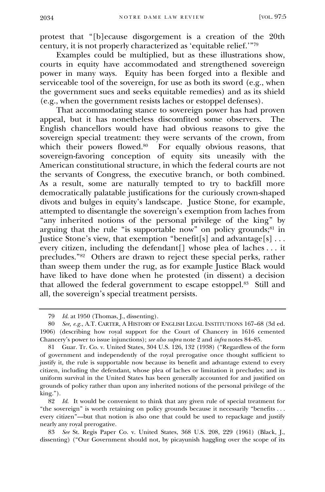protest that "[b]ecause disgorgement is a creation of the 20th century, it is not properly characterized as 'equitable relief.'" 79

Examples could be multiplied, but as these illustrations show, courts in equity have accommodated and strengthened sovereign power in many ways. Equity has been forged into a flexible and serviceable tool of the sovereign, for use as both its sword (e.g., when the government sues and seeks equitable remedies) and as its shield (e.g., when the government resists laches or estoppel defenses).

That accommodating stance to sovereign power has had proven appeal, but it has nonetheless discomfited some observers. The English chancellors would have had obvious reasons to give the sovereign special treatment: they were servants of the crown, from which their powers flowed.<sup>80</sup> For equally obvious reasons, that sovereign-favoring conception of equity sits uneasily with the American constitutional structure, in which the federal courts are not the servants of Congress, the executive branch, or both combined. As a result, some are naturally tempted to try to backfill more democratically palatable justifications for the curiously crown-shaped divots and bulges in equity's landscape. Justice Stone, for example, attempted to disentangle the sovereign's exemption from laches from "any inherited notions of the personal privilege of the king" by arguing that the rule "is supportable now" on policy grounds;<sup>81</sup> in Justice Stone's view, that exemption "benefit[s] and advantage[s] . . . every citizen, including the defendant[] whose plea of laches . . . it precludes." 82 Others are drawn to reject these special perks, rather than sweep them under the rug, as for example Justice Black would have liked to have done when he protested (in dissent) a decision that allowed the federal government to escape estoppel.<sup>83</sup> Still and all, the sovereign's special treatment persists.

<sup>79</sup> *Id.* at 1950 (Thomas, J., dissenting).

<sup>80</sup> *See, e.g.*, A.T. CARTER, A HISTORY OF ENGLISH LEGAL INSTITUTIONS 167–68 (3d ed. 1906) (describing how royal support for the Court of Chancery in 1616 cemented Chancery's power to issue injunctions); *see also supra* note 2 and *infra* notes 84–85.

<sup>81</sup> Guar. Tr. Co. v. United States, 304 U.S. 126, 132 (1938) ("Regardless of the form of government and independently of the royal prerogative once thought sufficient to justify it, the rule is supportable now because its benefit and advantage extend to every citizen, including the defendant, whose plea of laches or limitation it precludes; and its uniform survival in the United States has been generally accounted for and justified on grounds of policy rather than upon any inherited notions of the personal privilege of the king.").

<sup>82</sup> *Id.* It would be convenient to think that any given rule of special treatment for "the sovereign" is worth retaining on policy grounds because it necessarily "benefits . . . every citizen"—but that notion is also one that could be used to repackage and justify nearly any royal prerogative.

<sup>83</sup> *See* St. Regis Paper Co. v. United States, 368 U.S. 208, 229 (1961) (Black, J., dissenting) ("Our Government should not, by picayunish haggling over the scope of its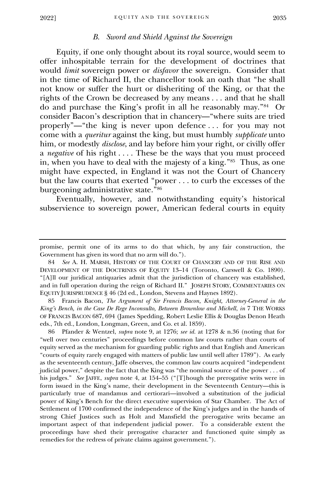#### *B. Sword and Shield Against the Sovereign*

<span id="page-16-0"></span>Equity, if one only thought about its royal source, would seem to offer inhospitable terrain for the development of doctrines that would *limit* sovereign power or *disfavor* the sovereign. Consider that in the time of Richard II, the chancellor took an oath that "he shall not know or suffer the hurt or disheriting of the King, or that the rights of the Crown be decreased by any means . . . and that he shall do and purchase the King's profit in all he reasonably may." 84 Or consider Bacon's description that in chancery—"where suits are tried properly"—"the king is never upon defence . . . for you may not come with a *queritur* against the king, but must humbly *supplicate* unto him, or modestly *disclose*, and lay before him your right, or civilly offer a *negative* of his right .... These be the ways that you must proceed in, when you have to deal with the majesty of a king." 85 Thus, as one might have expected, in England it was not the Court of Chancery but the law courts that exerted "power . . . to curb the excesses of the burgeoning administrative state." 86

Eventually, however, and notwithstanding equity's historical subservience to sovereign power, American federal courts in equity

85 Francis Bacon, *The Argument of Sir Francis Bacon, Knight, Attorney-General in the King's Bench, in the Case De Rege Inconsulto, Between Brownlow and Michell*, *in* 7 THE WORKS OF FRANCIS BACON 687, 694 (James Spedding, Robert Leslie Ellis & Douglas Denon Heath eds., 7th ed., London, Longman, Green, and Co. et al. 1859).

86 Pfander & Wentzel, *supra* note 9, at 1276; *see id.* at 1278 & n.36 (noting that for "well over two centuries" proceedings before common law courts rather than courts of equity served as the mechanism for guarding public rights and that English and American "courts of equity rarely engaged with matters of public law until well after 1789"). As early as the seventeenth century, Jaffe observes, the common law courts acquired "independent judicial power," despite the fact that the King was "the nominal source of the power . . . of his judges." *See* JAFFE, *supra* note 4, at 154–55 ("[T]hough the prerogative writs were in form issued in the King's name, their development in the Seventeenth Century—this is particularly true of mandamus and certiorari—involved a substitution of the judicial power of King's Bench for the direct executive supervision of Star Chamber. The Act of Settlement of 1700 confirmed the independence of the King's judges and in the hands of strong Chief Justices such as Holt and Mansfield the prerogative writs became an important aspect of that independent judicial power. To a considerable extent the proceedings have shed their prerogative character and functioned quite simply as remedies for the redress of private claims against government.").

promise, permit one of its arms to do that which, by any fair construction, the Government has given its word that no arm will do.").

<sup>84</sup> *See* A. H. MARSH, HISTORY OF THE COURT OF CHANCERY AND OF THE RISE AND DEVELOPMENT OF THE DOCTRINES OF EQUITY 13–14 (Toronto, Carswell & Co. 1890). "[A]ll our juridical antiquaries admit that the jurisdiction of chancery was established, and in full operation during the reign of Richard II." JOSEPH STORY, COMMENTARIES ON EQUITY JURISPRUDENCE § 46 (2d ed., London, Stevens and Haynes 1892).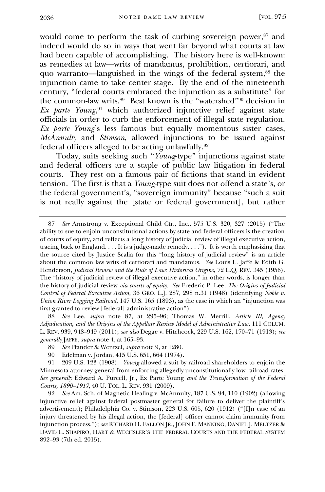would come to perform the task of curbing sovereign power,<sup>87</sup> and indeed would do so in ways that went far beyond what courts at law had been capable of accomplishing. The history here is well-known: as remedies at law—writs of mandamus, prohibition, certiorari, and quo warranto—languished in the wings of the federal system,<sup>88</sup> the injunction came to take center stage. By the end of the nineteenth century, "federal courts embraced the injunction as a substitute" for the common-law writs. 89 Best known is the "watershed" <sup>90</sup> decision in *Ex parte Young*, <sup>91</sup> which authorized injunctive relief against state officials in order to curb the enforcement of illegal state regulation. *Ex parte Young*'s less famous but equally momentous sister cases, *McAnnulty* and *Stimson*, allowed injunctions to be issued against federal officers alleged to be acting unlawfully.<sup>92</sup>

Today, suits seeking such "*Young*-type" injunctions against state and federal officers are a staple of public law litigation in federal courts. They rest on a famous pair of fictions that stand in evident tension. The first is that a *Young*-type suit does not offend a state's, or the federal government's, "sovereign immunity" because "such a suit is not really against the [state or federal government], but rather

88 *See* Lee, *supra* note 87, at 295–96; Thomas W. Merrill, *Article III, Agency Adjudication, and the Origins of the Appellate Review Model of Administrative Law*, 111 COLUM. L. REV. 939, 948–949 (2011); *see also* Degge v. Hitchcock, 229 U.S. 162, 170–71 (1913); *see generally* JAFFE, *supra* note 4, at 165–93.

90 Edelman v. Jordan, 415 U.S. 651, 664 (1974).

<sup>87</sup> *See* Armstrong v. Exceptional Child Ctr., Inc., 575 U.S. 320, 327 (2015) ("The ability to sue to enjoin unconstitutional actions by state and federal officers is the creation of courts of equity, and reflects a long history of judicial review of illegal executive action, tracing back to England. . . . It is a judge-made remedy. . . ."). It is worth emphasizing that the source cited by Justice Scalia for this "long history of judicial review" is an article about the common law writs of certiorari and mandamus. *See* Louis L. Jaffe & Edith G. Henderson, *Judicial Review and the Rule of Law: Historical Origins*, 72 L.Q. REV. 345 (1956). The "history of judicial review of illegal executive action," in other words, is longer than the history of judicial review *via courts of equity*. *See* Frederic P. Lee, *The Origins of Judicial Control of Federal Executive Action*, 36 GEO. L.J. 287, 298 n.31 (1948) (identifying *Noble v. Union River Logging Railroad*, 147 U.S. 165 (1893), as the case in which an "injunction was first granted to review [federal] administrative action").

<sup>89</sup> *See* Pfander & Wentzel, *supra* note 9, at 1280.

<sup>91</sup> 209 U.S. 123 (1908). *Young* allowed a suit by railroad shareholders to enjoin the Minnesota attorney general from enforcing allegedly unconstitutionally low railroad rates. *See generally* Edward A. Purcell, Jr., Ex Parte Young *and the Transformation of the Federal Courts, 1890–1917*, 40 U. TOL. L. REV. 931 (2009).

<sup>92</sup> *See* Am. Sch. of Magnetic Healing v. McAnnulty, 187 U.S. 94, 110 (1902) (allowing injunctive relief against federal postmaster general for failure to deliver the plaintiff's advertisement); Philadelphia Co. v. Stimson, 223 U.S. 605, 620 (1912) ("[I]n case of an injury threatened by his illegal action, the [federal] officer cannot claim immunity from injunction process."); *see* RICHARD H. FALLON JR., JOHN F. MANNING, DANIEL J. MELTZER & DAVID L. SHAPIRO, HART & WECHSLER'S THE FEDERAL COURTS AND THE FEDERAL SYSTEM 892–93 (7th ed. 2015).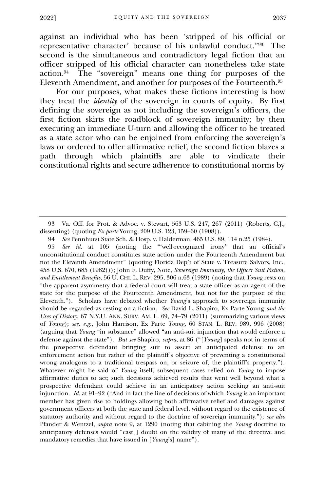against an individual who has been 'stripped of his official or representative character' because of his unlawful conduct." 93 The second is the simultaneous and contradictory legal fiction that an officer stripped of his official character can nonetheless take state action.<sup>94</sup> The "sovereign" means one thing for purposes of the Eleventh Amendment, and another for purposes of the Fourteenth.<sup>95</sup>

For our purposes, what makes these fictions interesting is how they treat the *identity* of the sovereign in courts of equity. By first defining the sovereign as not including the sovereign's officers, the first fiction skirts the roadblock of sovereign immunity; by then executing an immediate U-turn and allowing the officer to be treated as a state actor who can be enjoined from enforcing the sovereign's laws or ordered to offer affirmative relief, the second fiction blazes a path through which plaintiffs are able to vindicate their constitutional rights and secure adherence to constitutional norms by

95 *See id.* at 105 (noting the "'well-recognized irony' that an official's unconstitutional conduct constitutes state action under the Fourteenth Amendment but not the Eleventh Amendment" (quoting Florida Dep't of State v. Treasure Salvors, Inc., 458 U.S. 670, 685 (1982))); John F. Duffy, Note, *Sovereign Immunity, the Officer Suit Fiction, and Entitlement Benefits*, 56 U. CHI. L. REV. 295, 306 n.63 (1989) (noting that *Young* rests on "the apparent asymmetry that a federal court will treat a state officer as an agent of the state for the purpose of the Fourteenth Amendment, but not for the purpose of the Eleventh."). Scholars have debated whether *Young*'s approach to sovereign immunity should be regarded as resting on a fiction. *See* David L. Shapiro, Ex Parte Young *and the Uses of History*, 67 N.Y.U. ANN. SURV. AM. L. 69, 74–79 (2011) (summarizing various views of *Young*); *see, e.g.*, John Harrison, Ex Parte *Young*, 60 STAN. L. REV. 989, 996 (2008) (arguing that *Young* "in substance" allowed "an anti-suit injunction that would enforce a defense against the state"). *But see* Shapiro, *supra*, at 86 ("[*Young*] speaks not in terms of the prospective defendant bringing suit to assert an anticipated defense to an enforcement action but rather of the plaintiff's objective of preventing a constitutional wrong analogous to a traditional trespass on, or seizure of, the plaintiff's property."). Whatever might be said of *Young* itself, subsequent cases relied on *Young* to impose affirmative duties to act; such decisions achieved results that went well beyond what a prospective defendant could achieve in an anticipatory action seeking an anti-suit injunction. *Id.* at 91–92 ("And in fact the line of decisions of which *Young* is an important member has given rise to holdings allowing both affirmative relief and damages against government officers at both the state and federal level, without regard to the existence of statutory authority and without regard to the doctrine of sovereign immunity."); *see also* Pfander & Wentzel, *supra* note 9, at 1290 (noting that cabining the *Young* doctrine to anticipatory defenses would "cast[] doubt on the validity of many of the directive and mandatory remedies that have issued in [*Young*'s] name").

<sup>93</sup> Va. Off. for Prot. & Advoc. v. Stewart, 563 U.S. 247, 267 (2011) (Roberts, C.J., dissenting) (quoting *Ex parte* Young, 209 U.S. 123, 159–60 (1908)).

<sup>94</sup> *See* Pennhurst State Sch. & Hosp. v. Halderman, 465 U.S. 89, 114 n.25 (1984).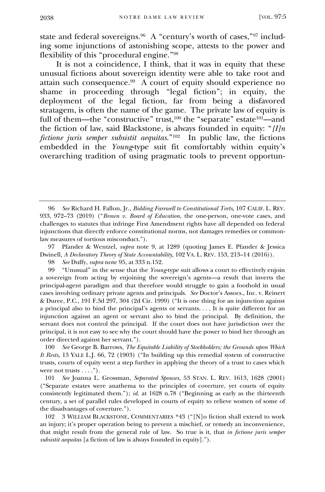state and federal sovereigns.<sup>96</sup> A "century's worth of cases,"<sup>97</sup> including some injunctions of astonishing scope, attests to the power and flexibility of this "procedural engine." 98

It is not a coincidence, I think, that it was in equity that these unusual fictions about sovereign identity were able to take root and attain such consequence.<sup>99</sup> A court of equity should experience no shame in proceeding through "legal fiction"; in equity, the deployment of the legal fiction, far from being a disfavored stratagem, is often the name of the game. The private law of equity is full of them—the "constructive" trust,<sup>100</sup> the "separate" estate<sup>101</sup>—and the fiction of law, said Blackstone, is always founded in equity: "*[I]n fictione juris semper subsistit aequitas*." 102 In public law, the fictions embedded in the *Young*-type suit fit comfortably within equity's overarching tradition of using pragmatic tools to prevent opportun-

97 Pfander & Wentzel, *supra* note 9, at 1289 (quoting James E. Pfander & Jessica Dwinell, *A Declaratory Theory of State Accountability*, 102 VA. L. REV. 153, 213–14 (2016)).

98 *See* Duffy, *supra* note 95, at 333 n.152.

99 "Unusual" in the sense that the *Young*-type suit allows a court to effectively enjoin a sovereign from acting by enjoining the sovereign's agents—a result that inverts the principal-agent paradigm and that therefore would struggle to gain a foothold in usual cases involving ordinary private agents and principals. *See* Doctor's Assocs., Inc. v. Reinert & Duree, P.C., 191 F.3d 297, 304 (2d Cir. 1999) ("It is one thing for an injunction against a principal also to bind the principal's agents or servants. . . . It is quite different for an injunction against an agent or servant also to bind the principal. By definition, the servant does not control the principal. If the court does not have jurisdiction over the principal, it is not easy to see why the court should have the power to bind her through an order directed against her servant.").

100 *See* George B. Barrows, *The Equitable Liability of Stockholders; the Grounds upon Which It Rests*, 13 YALE L.J. 66, 72 (1903) ("In building up this remedial system of constructive trusts, courts of equity went a step further in applying the theory of a trust to cases which were not trusts  $\dots$ .").

101 *See* Joanna L. Grossman, *Separated Spouses*, 53 STAN. L. REV. 1613, 1628 (2001) ("Separate estates were anathema to the principles of coverture, yet courts of equity consistently legitimated them."); *id.* at 1628 n.78 ("Beginning as early as the thirteenth century, a set of parallel rules developed in courts of equity to relieve women of some of the disadvantages of coverture.").

102 3 WILLIAM BLACKSTONE, COMMENTARIES \*43 ("[N]o fiction shall extend to work an injury; it's proper operation being to prevent a mischief, or remedy an inconvenience, that might result from the general rule of law. So true is it, that *in fictione juris semper subsistit aequitas* [a fiction of law is always founded in equity].").

<sup>96</sup> *See* Richard H. Fallon, Jr., *Bidding Farewell to Constitutional Torts*, 107 CALIF. L. REV. 933, 972–73 (2019) ("*Brown v. Board of Education*, the one-person, one-vote cases, and challenges to statutes that infringe First Amendment rights have all depended on federal injunctions that directly enforce constitutional norms, not damages remedies or commonlaw measures of tortious misconduct.").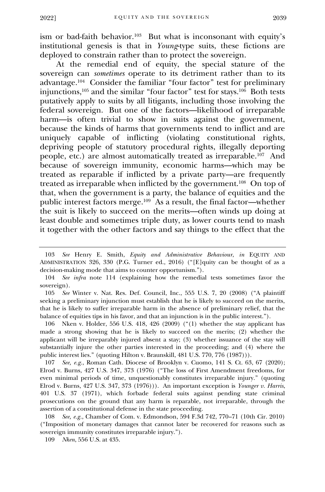ism or bad-faith behavior.<sup>103</sup> But what is inconsonant with equity's institutional genesis is that in *Young*-type suits, these fictions are deployed to constrain rather than to protect the sovereign.

At the remedial end of equity, the special stature of the sovereign can *sometimes* operate to its detriment rather than to its advantage.<sup>104</sup> Consider the familiar "four factor" test for preliminary injunctions,<sup>105</sup> and the similar "four factor" test for stays.<sup>106</sup> Both tests putatively apply to suits by all litigants, including those involving the federal sovereign. But one of the factors—likelihood of irreparable harm—is often trivial to show in suits against the government, because the kinds of harms that governments tend to inflict and are uniquely capable of inflicting (violating constitutional rights, depriving people of statutory procedural rights, illegally deporting people, etc.) are almost automatically treated as irreparable.<sup>107</sup> And because of sovereign immunity, economic harms—which may be treated as reparable if inflicted by a private party—are frequently treated as irreparable when inflicted by the government.<sup>108</sup> On top of that, when the government is a party, the balance of equities and the public interest factors merge.<sup>109</sup> As a result, the final factor—whether the suit is likely to succeed on the merits—often winds up doing at least double and sometimes triple duty, as lower courts tend to mash it together with the other factors and say things to the effect that the

<sup>103</sup> *See* Henry E. Smith, *Equity and Administrative Behaviour*, *in* EQUITY AND ADMINISTRATION 326, 330 (P.G. Turner ed., 2016) ("[E]quity can be thought of as a decision-making mode that aims to counter opportunism.").

<sup>104</sup> *See infra* note 114 (explaining how the remedial tests sometimes favor the sovereign).

<sup>105</sup> *See* Winter v. Nat. Res. Def. Council, Inc., 555 U.S. 7, 20 (2008) ("A plaintiff seeking a preliminary injunction must establish that he is likely to succeed on the merits, that he is likely to suffer irreparable harm in the absence of preliminary relief, that the balance of equities tips in his favor, and that an injunction is in the public interest.").

<sup>106</sup> Nken v. Holder, 556 U.S. 418, 426 (2009) ("(1) whether the stay applicant has made a strong showing that he is likely to succeed on the merits; (2) whether the applicant will be irreparably injured absent a stay; (3) whether issuance of the stay will substantially injure the other parties interested in the proceeding; and (4) where the public interest lies." (quoting Hilton v. Braunskill, 481 U.S. 770, 776 (1987))).

<sup>107</sup> *See, e.g.*, Roman Cath. Diocese of Brooklyn v. Cuomo, 141 S. Ct. 63, 67 (2020); Elrod v. Burns, 427 U.S. 347, 373 (1976) ("The loss of First Amendment freedoms, for even minimal periods of time, unquestionably constitutes irreparable injury." (quoting Elrod v. Burns, 427 U.S. 347, 373 (1976))). An important exception is *Younger v. Harris*, 401 U.S. 37 (1971), which forbade federal suits against pending state criminal prosecutions on the ground that any harm is reparable, not irreparable, through the assertion of a constitutional defense in the state proceeding.

<sup>108</sup> *See, e.g.*, Chamber of Com. v. Edmondson, 594 F.3d 742, 770–71 (10th Cir. 2010) ("Imposition of monetary damages that cannot later be recovered for reasons such as sovereign immunity constitutes irreparable injury.").

<sup>109</sup> *Nken*, 556 U.S. at 435.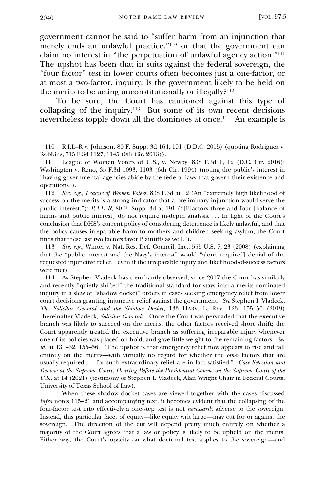government cannot be said to "suffer harm from an injunction that merely ends an unlawful practice," <sup>110</sup> or that the government can claim no interest in "the perpetuation of unlawful agency action." 111 The upshot has been that in suits against the federal sovereign, the "four factor" test in lower courts often becomes just a one-factor, or at most a two-factor, inquiry: Is the government likely to be held on the merits to be acting unconstitutionally or illegally?<sup>112</sup>

To be sure, the Court has cautioned against this type of collapsing of the inquiry.<sup>113</sup> But some of its own recent decisions nevertheless topple down all the dominoes at once.<sup>114</sup> An example is

112 *See, e.g.*, *League of Women Voters*, 838 F.3d at 12 (An "extremely high likelihood of success on the merits is a strong indicator that a preliminary injunction would serve the public interest."); *R.I.L–R*, 80 F. Supp. 3d at 191 ("[F]actors three and four [balance of harms and public interest] do not require in-depth analysis.... In light of the Court's conclusion that DHS's current policy of considering deterrence is likely unlawful, and that the policy causes irreparable harm to mothers and children seeking asylum, the Court finds that these last two factors favor Plaintiffs as well.").

113 *See, e.g.*, Winter v. Nat. Res. Def. Council, Inc., 555 U.S. 7, 23 (2008) (explaining that the "public interest and the Navy's interest" would "alone require[] denial of the requested injunctive relief," even if the irreparable injury and likelihood-of-success factors were met).

114 As Stephen Vladeck has trenchantly observed, since 2017 the Court has similarly and recently "quietly shifted" the traditional standard for stays into a merits-dominated inquiry in a slew of "shadow docket" orders in cases seeking emergency relief from lower court decisions granting injunctive relief against the government. *See* Stephen I. Vladeck, *The Solicitor General and the Shadow Docket*, 133 HARV. L. REV. 123, 155–56 (2019) [hereinafter Vladeck, *Solicitor General*]. Once the Court was persuaded that the executive branch was likely to succeed on the merits, the other factors received short shrift; the Court apparently treated the executive branch as suffering irreparable injury whenever one of its policies was placed on hold, and gave little weight to the remaining factors. *See id.* at 131–32, 155–56. "The upshot is that emergency relief now appears to rise and fall entirely on the merits—with virtually no regard for whether the *other* factors that are usually required . . . for such extraordinary relief are in fact satisfied." *Case Selection and Review at the Supreme Court, Hearing Before the Presidential Comm. on the Supreme Court of the U.S.*, at 14 (2021) (testimony of Stephen I. Vladeck, Alan Wright Chair in Federal Courts, University of Texas School of Law).

When these shadow docket cases are viewed together with the cases discussed *infra* notes 115–21 and accompanying text, it becomes evident that the collapsing of the four-factor test into effectively a one-step test is not *necessarily* adverse to the sovereign. Instead, this particular facet of equity—like equity writ large—may cut for or against the sovereign. The direction of the cut will depend pretty much entirely on whether a majority of the Court agrees that a law or policy is likely to be upheld on the merits. Either way, the Court's opacity on what doctrinal test applies to the sovereign—and

<sup>110</sup> R.I.L–R v. Johnson, 80 F. Supp. 3d 164, 191 (D.D.C. 2015) (quoting Rodriguez v. Robbins, 715 F.3d 1127, 1145 (9th Cir. 2013)).

<sup>111</sup> League of Women Voters of U.S., v. Newby, 838 F.3d 1, 12 (D.C. Cir. 2016); Washington v. Reno, 35 F.3d 1093, 1103 (6th Cir. 1994) (noting the public's interest in "having governmental agencies abide by the federal laws that govern their existence and operations").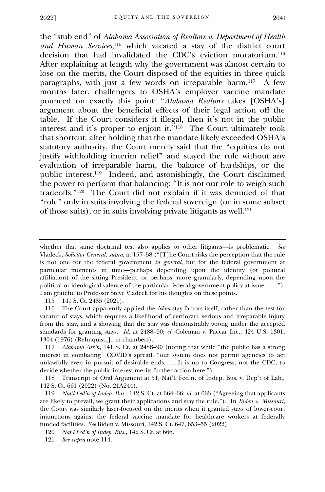the "stub end" of *Alabama Association of Realtors v. Department of Health and Human Services*, <sup>115</sup> which vacated a stay of the district court decision that had invalidated the CDC's eviction moratorium.<sup>116</sup> After explaining at length why the government was almost certain to lose on the merits, the Court disposed of the equities in three quick paragraphs, with just a few words on irreparable harm.<sup>117</sup> A few months later, challengers to OSHA's employer vaccine mandate pounced on exactly this point: "*Alabama Realtors* takes [OSHA's] argument about the beneficial effects of their legal action off the table. If the Court considers it illegal, then it's not in the public interest and it's proper to enjoin it." 118 The Court ultimately took that shortcut: after holding that the mandate likely exceeded OSHA's statutory authority, the Court merely said that the "equities do not justify withholding interim relief" and stayed the rule without any evaluation of irreparable harm, the balance of hardships, or the public interest.<sup>119</sup> Indeed, and astonishingly, the Court disclaimed the power to perform that balancing: "It is not our role to weigh such tradeoffs." 120 The Court did not explain if it was denuded of that "role" only in suits involving the federal sovereign (or in some subset of those suits), or in suits involving private litigants as well.<sup>121</sup>

115 141 S. Ct. 2485 (2021).

116 The Court apparently applied the *Nken* stay factors itself, rather than the test for vacatur of stays, which requires a likelihood of certiorari, serious and irreparable injury from the stay, and a showing that the stay was demonstrably wrong under the accepted standards for granting stays. *Id.* at 2488–90; *cf.* Coleman v. Paccar Inc., 424 U.S. 1301, 1304 (1976) (Rehnquist, J., in chambers).

117 *Alabama Ass'n*, 141 S. Ct. at 2488–90 (noting that while "the public has a strong interest in combating" COVID's spread, "our system does not permit agencies to act unlawfully even in pursuit of desirable ends. . . . It is up to Congress, not the CDC, to decide whether the public interest merits further action here.").

118 Transcript of Oral Argument at 51, Nat'l. Fed'n. of Indep. Bus. v. Dep't of Lab., 142 S. Ct. 661 (2022) (No. 21A244).

119 *Nat'l Fed'n of Indep. Bus.*, 142 S. Ct. at 664–66; *id.* at 663 ("Agreeing that applicants are likely to prevail, we grant their applications and stay the rule."). In *Biden v. Missouri*, the Court was similarly laser-focused on the merits when it granted stays of lower-court injunctions against the federal vaccine mandate for healthcare workers at federally funded facilities. *See* Biden v. Missouri, 142 S. Ct. 647, 653–55 (2022).

120 *Nat'l Fed'n of Indep. Bus.*, 142 S. Ct. at 666.

121 *See supra* note 114.

whether that same doctrinal test also applies to other litigants—is problematic. *See* Vladeck, *Solicitor General*, *supra*, at 157–58 ("[T]he Court risks the perception that the rule is not one for the federal government *in general*, but for the federal government at particular moments in time—perhaps depending upon the identity (or political affiliation) of the sitting President, or perhaps, more granularly, depending upon the political or ideological valence of the particular federal government policy at issue . . . ."). I am grateful to Professor Steve Vladeck for his thoughts on these points.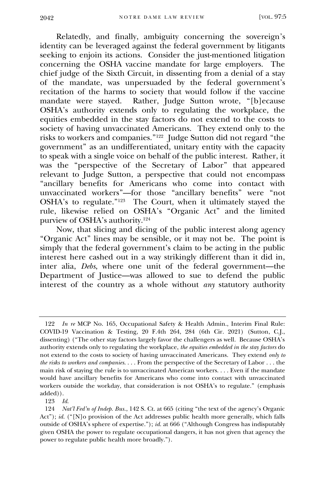Relatedly, and finally, ambiguity concerning the sovereign's identity can be leveraged against the federal government by litigants seeking to enjoin its actions. Consider the just-mentioned litigation concerning the OSHA vaccine mandate for large employers. The chief judge of the Sixth Circuit, in dissenting from a denial of a stay of the mandate, was unpersuaded by the federal government's recitation of the harms to society that would follow if the vaccine mandate were stayed. Rather, Judge Sutton wrote, "[b]ecause OSHA's authority extends only to regulating the workplace, the equities embedded in the stay factors do not extend to the costs to society of having unvaccinated Americans. They extend only to the risks to workers and companies." 122 Judge Sutton did not regard "the government" as an undifferentiated, unitary entity with the capacity to speak with a single voice on behalf of the public interest. Rather, it was the "perspective of the Secretary of Labor" that appeared relevant to Judge Sutton, a perspective that could not encompass "ancillary benefits for Americans who come into contact with unvaccinated workers"—for those "ancillary benefits" were "not OSHA's to regulate." 123 The Court, when it ultimately stayed the rule, likewise relied on OSHA's "Organic Act" and the limited purview of OSHA's authority.<sup>124</sup>

Now, that slicing and dicing of the public interest along agency "Organic Act" lines may be sensible, or it may not be. The point is simply that the federal government's claim to be acting in the public interest here cashed out in a way strikingly different than it did in, inter alia, *Debs*, where one unit of the federal government—the Department of Justice—was allowed to sue to defend the public interest of the country as a whole without *any* statutory authority

<sup>122</sup> *In re* MCP No. 165, Occupational Safety & Health Admin., Interim Final Rule: COVID-19 Vaccination & Testing, 20 F.4th 264, 284 (6th Cir. 2021) (Sutton, C.J., dissenting) ("The other stay factors largely favor the challengers as well. Because OSHA's authority extends only to regulating the workplace, *the equities embedded in the stay factors* do not extend to the costs to society of having unvaccinated Americans. They extend *only to the risks to workers and companies*. . . . From the perspective of the Secretary of Labor . . . the main risk of staying the rule is to unvaccinated American workers. . . . Even if the mandate would have ancillary benefits for Americans who come into contact with unvaccinated workers outside the workday, that consideration is not OSHA's to regulate." (emphasis added)).

<sup>123</sup> *Id.*

<sup>124</sup> *Nat'l Fed'n of Indep. Bus.*, 142 S. Ct. at 665 (citing "the text of the agency's Organic Act"); *id.* ("[N]o provision of the Act addresses public health more generally, which falls outside of OSHA's sphere of expertise."); *id.* at 666 ("Although Congress has indisputably given OSHA the power to regulate occupational dangers, it has not given that agency the power to regulate public health more broadly.").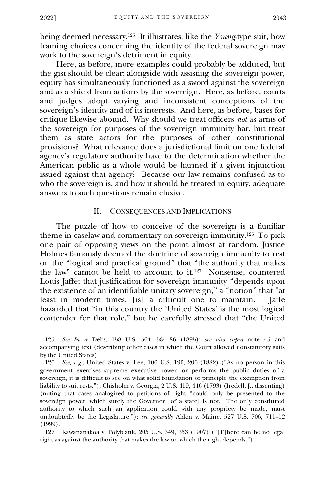being deemed necessary.<sup>125</sup> It illustrates, like the *Young*-type suit, how framing choices concerning the identity of the federal sovereign may work to the sovereign's detriment in equity.

Here, as before, more examples could probably be adduced, but the gist should be clear: alongside with assisting the sovereign power, equity has simultaneously functioned as a sword against the sovereign and as a shield from actions by the sovereign. Here, as before, courts and judges adopt varying and inconsistent conceptions of the sovereign's identity and of its interests. And here, as before, bases for critique likewise abound. Why should we treat officers *not* as arms of the sovereign for purposes of the sovereign immunity bar, but treat them as state actors for the purposes of other constitutional provisions? What relevance does a jurisdictional limit on one federal agency's regulatory authority have to the determination whether the American public as a whole would be harmed if a given injunction issued against that agency? Because our law remains confused as to who the sovereign is, and how it should be treated in equity, adequate answers to such questions remain elusive.

## II. CONSEQUENCES AND IMPLICATIONS

<span id="page-24-0"></span>The puzzle of how to conceive of the sovereign is a familiar theme in caselaw and commentary on sovereign immunity.<sup>126</sup> To pick one pair of opposing views on the point almost at random, Justice Holmes famously deemed the doctrine of sovereign immunity to rest on the "logical and practical ground" that "the authority that makes the law" cannot be held to account to it.<sup>127</sup> Nonsense, countered Louis Jaffe; that justification for sovereign immunity "depends upon the existence of an identifiable unitary sovereign," a "notion" that "at least in modern times, [is] a difficult one to maintain." Jaffe hazarded that "in this country the 'United States' is the most logical contender for that role," but he carefully stressed that "the United

<sup>125</sup> *See In re* Debs, 158 U.S. 564, 584–86 (1895); *see also supra* note 45 and accompanying text (describing other cases in which the Court allowed nonstatutory suits by the United States).

<sup>126</sup> *See, e.g.*, United States v. Lee, 106 U.S. 196, 206 (1882) ("As no person in this government exercises supreme executive power, or performs the public duties of a sovereign, it is difficult to see on what solid foundation of principle the exemption from liability to suit rests."); Chisholm v. Georgia, 2 U.S. 419, 446 (1793) (Iredell, J., dissenting) (noting that cases analogized to petitions of right "could only be presented to the sovereign power, which surely the Governor [of a state] is not. The only constituted authority to which such an application could with any propriety be made, must undoubtedly be the Legislature."); *see generally* Alden v. Maine, 527 U.S. 706, 711–12 (1999).

<sup>127</sup> Kawananakoa v. Polyblank, 205 U.S. 349, 353 (1907) ("[T]here can be no legal right as against the authority that makes the law on which the right depends.").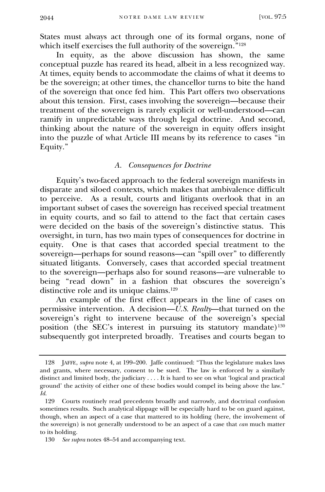States must always act through one of its formal organs, none of which itself exercises the full authority of the sovereign." 128

In equity, as the above discussion has shown, the same conceptual puzzle has reared its head, albeit in a less recognized way. At times, equity bends to accommodate the claims of what it deems to be the sovereign; at other times, the chancellor turns to bite the hand of the sovereign that once fed him. This Part offers two observations about this tension. First, cases involving the sovereign—because their treatment of the sovereign is rarely explicit or well-understood—can ramify in unpredictable ways through legal doctrine. And second, thinking about the nature of the sovereign in equity offers insight into the puzzle of what Article III means by its reference to cases "in Equity."

#### *A. Consequences for Doctrine*

<span id="page-25-0"></span>Equity's two-faced approach to the federal sovereign manifests in disparate and siloed contexts, which makes that ambivalence difficult to perceive. As a result, courts and litigants overlook that in an important subset of cases the sovereign has received special treatment in equity courts, and so fail to attend to the fact that certain cases were decided on the basis of the sovereign's distinctive status. This oversight, in turn, has two main types of consequences for doctrine in equity. One is that cases that accorded special treatment to the sovereign—perhaps for sound reasons—can "spill over" to differently situated litigants. Conversely, cases that accorded special treatment to the sovereign—perhaps also for sound reasons—are vulnerable to being "read down" in a fashion that obscures the sovereign's distinctive role and its unique claims.<sup>129</sup>

An example of the first effect appears in the line of cases on permissive intervention. A decision—*U.S. Realty*—that turned on the sovereign's right to intervene because of the sovereign's special position (the SEC's interest in pursuing its statutory mandate)<sup>130</sup> subsequently got interpreted broadly. Treatises and courts began to

<sup>128</sup> JAFFE, *supra* note 4, at 199–200. Jaffe continued: "Thus the legislature makes laws and grants, where necessary, consent to be sued. The law is enforced by a similarly distinct and limited body, the judiciary . . . . It is hard to see on what 'logical and practical ground' the activity of either one of these bodies would compel its being above the law." *Id.*

<sup>129</sup> Courts routinely read precedents broadly and narrowly, and doctrinal confusion sometimes results. Such analytical slippage will be especially hard to be on guard against, though, when an aspect of a case that mattered to its holding (here, the involvement of the sovereign) is not generally understood to be an aspect of a case that *can* much matter to its holding.

<sup>130</sup> *See supra* notes 48–54 and accompanying text.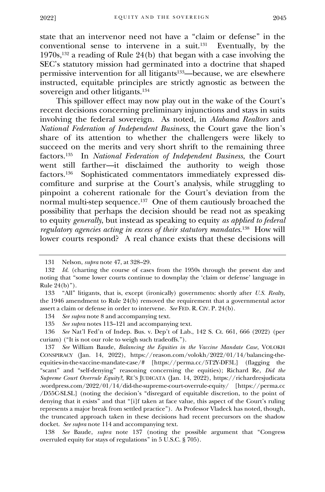state that an intervenor need not have a "claim or defense" in the conventional sense to intervene in a suit.<sup>131</sup> Eventually, by the 1970s,<sup>132</sup> a reading of Rule 24(b) that began with a case involving the SEC's statutory mission had germinated into a doctrine that shaped permissive intervention for all litigants133—because, we are elsewhere instructed, equitable principles are strictly agnostic as between the sovereign and other litigants.<sup>134</sup>

This spillover effect may now play out in the wake of the Court's recent decisions concerning preliminary injunctions and stays in suits involving the federal sovereign. As noted, in *Alabama Realtors* and *National Federation of Independent Business*, the Court gave the lion's share of its attention to whether the challengers were likely to succeed on the merits and very short shrift to the remaining three factors.<sup>135</sup> In *National Federation of Independent Business*, the Court went still farther—it disclaimed the authority to weigh those factors.<sup>136</sup> Sophisticated commentators immediately expressed discomfiture and surprise at the Court's analysis, while struggling to pinpoint a coherent rationale for the Court's deviation from the normal multi-step sequence.<sup>137</sup> One of them cautiously broached the possibility that perhaps the decision should be read not as speaking to equity *generally*, but instead as speaking to equity *as applied to federal regulatory agencies acting in excess of their statutory mandates*. 138 How will lower courts respond? A real chance exists that these decisions will

134 *See supra* note 8 and accompanying text.

135 *See supra* notes 113–121 and accompanying text.

136 *See* Nat'l Fed'n of Indep. Bus. v. Dep't of Lab., 142 S. Ct. 661, 666 (2022) (per curiam) ("It is not our role to weigh such tradeoffs.").

138 *See* Baude, *supra* note 137 (noting the possible argument that "Congress overruled equity for stays of regulations" in 5 U.S.C. § 705).

<sup>131</sup> Nelson, *supra* note 47, at 328–29.

<sup>132</sup> *Id.* (charting the course of cases from the 1950s through the present day and noting that "some lower courts continue to downplay the 'claim or defense' language in Rule 24(b)").

<sup>133</sup> "All" litigants, that is, except (ironically) governments: shortly after *U.S. Realty*, the 1946 amendment to Rule 24(b) removed the requirement that a governmental actor assert a claim or defense in order to intervene. *See* FED. R. CIV. P. 24(b).

<sup>137</sup> *See* William Baude, *Balancing the Equities in the Vaccine Mandate Case*, VOLOKH CONSPIRACY (Jan. 14, 2022), https://reason.com/volokh/2022/01/14/balancing-theequities-in-the-vaccine-mandate-case/# [https://perma.cc/5T2Y-DF3L] (flagging the "scant" and "self-denying" reasoning concerning the equities); Richard Re, *Did the Supreme Court Overrule Equity?*, RE'S JUDICATA (Jan. 14, 2022), https://richardresjudicata .wordpress.com/2022/01/14/did-the-supreme-court-overrule-equity/ [https://perma.cc /D55C-SLSL] (noting the decision's "disregard of equitable discretion, to the point of denying that it exists" and that "[i]f taken at face value, this aspect of the Court's ruling represents a major break from settled practice"). As Professor Vladeck has noted, though, the truncated approach taken in these decisions had recent precursors on the shadow docket. *See supra* note 114 and accompanying text.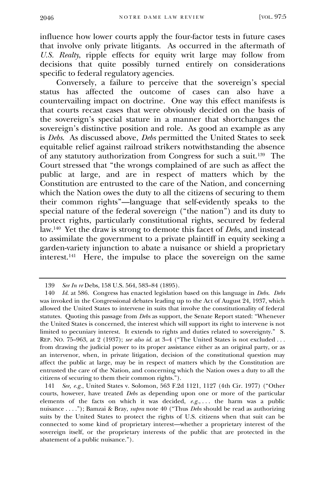influence how lower courts apply the four-factor tests in future cases that involve only private litigants. As occurred in the aftermath of *U.S. Realty*, ripple effects for equity writ large may follow from decisions that quite possibly turned entirely on considerations specific to federal regulatory agencies.

Conversely, a failure to perceive that the sovereign's special status has affected the outcome of cases can also have a countervailing impact on doctrine. One way this effect manifests is that courts recast cases that were obviously decided on the basis of the sovereign's special stature in a manner that shortchanges the sovereign's distinctive position and role. As good an example as any is *Debs*. As discussed above, *Debs* permitted the United States to seek equitable relief against railroad strikers notwithstanding the absence of any statutory authorization from Congress for such a suit.<sup>139</sup> The Court stressed that "the wrongs complained of are such as affect the public at large, and are in respect of matters which by the Constitution are entrusted to the care of the Nation, and concerning which the Nation owes the duty to all the citizens of securing to them their common rights"—language that self-evidently speaks to the special nature of the federal sovereign ("the nation") and its duty to protect rights, particularly constitutional rights, secured by federal law.<sup>140</sup> Yet the draw is strong to demote this facet of *Debs*, and instead to assimilate the government to a private plaintiff in equity seeking a garden-variety injunction to abate a nuisance or shield a proprietary interest.<sup>141</sup> Here, the impulse to place the sovereign on the same

<sup>139</sup> *See In re* Debs, 158 U.S. 564, 583–84 (1895).

<sup>140</sup> *Id.* at 586. Congress has enacted legislation based on this language in *Debs*. *Debs* was invoked in the Congressional debates leading up to the Act of August 24, 1937, which allowed the United States to intervene in suits that involve the constitutionality of federal statutes. Quoting this passage from *Debs* as support, the Senate Report stated: "Whenever the United States is concerned, the interest which will support its right to intervene is not limited to pecuniary interest. It extends to rights and duties related to sovereignty." S. REP. NO. 75–963, at 2 (1937); *see also id.* at 3–4 ("The United States is not excluded . . . from drawing the judicial power to its proper assistance either as an original party, or as an intervenor, when, in private litigation, decision of the constitutional question may affect the public at large, may be in respect of matters which by the Constitution are entrusted the care of the Nation, and concerning which the Nation owes a duty to all the citizens of securing to them their common rights.").

<sup>141</sup> *See, e.g.*, United States v. Solomon, 563 F.2d 1121, 1127 (4th Cir. 1977) ("Other courts, however, have treated *Debs* as depending upon one or more of the particular elements of the facts on which it was decided, *e.g.*, . . . the harm was a public nuisance . . . ."); Bamzai & Bray, *supra* note 40 ("Thus *Debs* should be read as authorizing suits by the United States to protect the rights of U.S. citizens when that suit can be connected to some kind of proprietary interest—whether a proprietary interest of the sovereign itself, or the proprietary interests of the public that are protected in the abatement of a public nuisance.").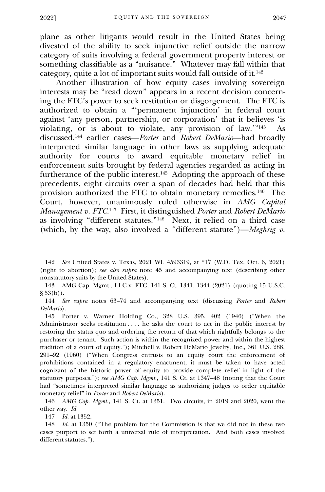plane as other litigants would result in the United States being divested of the ability to seek injunctive relief outside the narrow category of suits involving a federal government property interest or something classifiable as a "nuisance." Whatever may fall within that category, quite a lot of important suits would fall outside of it.<sup>142</sup>

Another illustration of how equity cases involving sovereign interests may be "read down" appears in a recent decision concerning the FTC's power to seek restitution or disgorgement. The FTC is authorized to obtain a "'permanent injunction' in federal court against 'any person, partnership, or corporation' that it believes 'is violating, or is about to violate, any provision of law.'" 143 As discussed,<sup>144</sup> earlier cases—*Porter* and *Robert DeMario*—had broadly interpreted similar language in other laws as supplying adequate authority for courts to award equitable monetary relief in enforcement suits brought by federal agencies regarded as acting in furtherance of the public interest.<sup>145</sup> Adopting the approach of these precedents, eight circuits over a span of decades had held that this provision authorized the FTC to obtain monetary remedies.<sup>146</sup> The Court, however, unanimously ruled otherwise in *AMG Capital Management v. FTC*. 147 First, it distinguished *Porter* and *Robert DeMario* as involving "different statutes." 148 Next, it relied on a third case (which, by the way, also involved a "different statute")—*Meghrig v.* 

147 *Id.* at 1352.

148 *Id.* at 1350 ("The problem for the Commission is that we did not in these two cases purport to set forth a universal rule of interpretation. And both cases involved different statutes.").

<sup>142</sup> *See* United States v. Texas, 2021 WL 4593319, at \*17 (W.D. Tex. Oct. 6, 2021) (right to abortion); *see also supra* note 45 and accompanying text (describing other nonstatutory suits by the United States).

<sup>143</sup> AMG Cap. Mgmt., LLC v. FTC, 141 S. Ct. 1341, 1344 (2021) (quoting 15 U.S.C.  $\S 53(b)$ ).

<sup>144</sup> *See supra* notes 63–74 and accompanying text (discussing *Porter* and *Robert DeMario*).

<sup>145</sup> Porter v. Warner Holding Co., 328 U.S. 395, 402 (1946) ("When the Administrator seeks restitution . . . . he asks the court to act in the public interest by restoring the status quo and ordering the return of that which rightfully belongs to the purchaser or tenant. Such action is within the recognized power and within the highest tradition of a court of equity."); Mitchell v. Robert DeMario Jewelry, Inc., 361 U.S. 288, 291–92 (1960) ("When Congress entrusts to an equity court the enforcement of prohibitions contained in a regulatory enactment, it must be taken to have acted cognizant of the historic power of equity to provide complete relief in light of the statutory purposes."); *see AMG Cap. Mgmt.*, 141 S. Ct. at 1347–48 (noting that the Court had "sometimes interpreted similar language as authorizing judges to order equitable monetary relief" in *Porter* and *Robert DeMario*).

<sup>146</sup> *AMG Cap. Mgmt.*, 141 S. Ct. at 1351. Two circuits, in 2019 and 2020, went the other way. *Id.*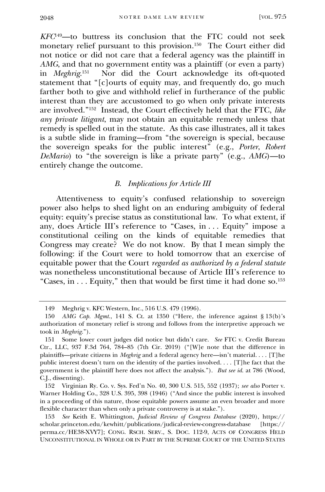*KFC*<sup>149</sup>—to buttress its conclusion that the FTC could not seek monetary relief pursuant to this provision.<sup>150</sup> The Court either did not notice or did not care that a federal agency was the plaintiff in *AMG*, and that no government entity was a plaintiff (or even a party) in *Meghrig*. 151 Nor did the Court acknowledge its oft-quoted statement that "[c]ourts of equity may, and frequently do, go much farther both to give and withhold relief in furtherance of the public interest than they are accustomed to go when only private interests are involved." 152 Instead, the Court effectively held that the FTC, *like any private litigant*, may not obtain an equitable remedy unless that remedy is spelled out in the statute. As this case illustrates, all it takes is a subtle slide in framing—from "the sovereign is special, because the sovereign speaks for the public interest" (e.g., *Porter*, *Robert DeMario*) to "the sovereign is like a private party" (e.g., *AMG*)—to entirely change the outcome.

## *B. Implications for Article III*

<span id="page-29-0"></span>Attentiveness to equity's confused relationship to sovereign power also helps to shed light on an enduring ambiguity of federal equity: equity's precise status as constitutional law. To what extent, if any, does Article III's reference to "Cases, in . . . Equity" impose a constitutional ceiling on the kinds of equitable remedies that Congress may create? We do not know. By that I mean simply the following: if the Court were to hold tomorrow that an exercise of equitable power that the Court *regarded as authorized by a federal statute* was nonetheless unconstitutional because of Article III's reference to "Cases, in . . . Equity," then that would be first time it had done so.<sup>153</sup>

<sup>149</sup> Meghrig v. KFC Western, Inc., 516 U.S. 479 (1996).

<sup>150</sup> *AMG Cap. Mgmt.*, 141 S. Ct. at 1350 ("Here, the inference against § 13(b)'s authorization of monetary relief is strong and follows from the interpretive approach we took in *Meghrig*.").

<sup>151</sup> Some lower court judges did notice but didn't care. *See* FTC v. Credit Bureau Ctr., LLC, 937 F.3d 764, 784–85 (7th Cir. 2019) ("[W]e note that the difference in plaintiffs—private citizens in *Meghrig* and a federal agency here—isn't material. . . . [T]he public interest doesn't turn on the identity of the parties involved. . . . [T]he fact that the government is the plaintiff here does not affect the analysis."). *But see id.* at 786 (Wood, C.J., dissenting).

<sup>152</sup> Virginian Ry. Co. v. Sys. Fed'n No. 40, 300 U.S. 515, 552 (1937); *see also* Porter v. Warner Holding Co., 328 U.S. 395, 398 (1946) ("And since the public interest is involved in a proceeding of this nature, those equitable powers assume an even broader and more flexible character than when only a private controversy is at stake.").

<sup>153</sup> *See* Keith E. Whittington, *Judicial Review of Congress Database* (2020), https:// scholar.princeton.edu/kewhitt/publications/judical-review-congress-database [https:// perma.cc/HE38-XVY7]; CONG. RSCH. SERV., S. DOC. 112-9, ACTS OF CONGRESS HELD UNCONSTITUTIONAL IN WHOLE OR IN PART BY THE SUPREME COURT OF THE UNITED STATES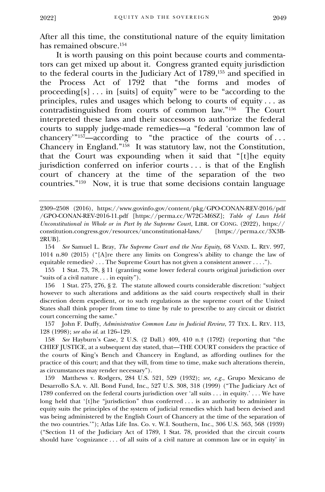After all this time, the constitutional nature of the equity limitation has remained obscure.<sup>154</sup>

It is worth pausing on this point because courts and commentators can get mixed up about it. Congress granted equity jurisdiction to the federal courts in the Judiciary Act of 1789,<sup>155</sup> and specified in the Process Act of 1792 that "the forms and modes of proceeding[s] . . . in [suits] of equity" were to be "according to the principles, rules and usages which belong to courts of equity . . . as contradistinguished from courts of common law." 156 The Court interpreted these laws and their successors to authorize the federal courts to supply judge-made remedies—a "federal 'common law of chancery'" <sup>157</sup>—according to "the practice of the courts of . . . Chancery in England." 158 It was statutory law, not the Constitution, that the Court was expounding when it said that "[t]he equity jurisdiction conferred on inferior courts . . . is that of the English court of chancery at the time of the separation of the two countries." 159 Now, it is true that some decisions contain language

156 1 Stat. 275, 276, § 2. The statute allowed courts considerable discretion: "subject however to such alterations and additions as the said courts respectively shall in their discretion deem expedient, or to such regulations as the supreme court of the United States shall think proper from time to time by rule to prescribe to any circuit or district court concerning the same."

157 John F. Duffy, *Administrative Common Law in Judicial Review*, 77 TEX. L. REV. 113, 128 (1998); *see also id.* at 126–129.

158 *See* Hayburn's Case, 2 U.S. (2 Dall.) 409, 410 n.† (1792) (reporting that "the CHIEF JUSTICE, at a subsequent day stated, that—THE COURT considers the practice of the courts of King's Bench and Chancery in England, as affording outlines for the practice of this court; and that they will, from time to time, make such alterations therein, as circumstances may render necessary").

159 Matthews v. Rodgers, 284 U.S. 521, 529 (1932); *see, e.g.*, Grupo Mexicano de Desarrollo S.A. v. All. Bond Fund, Inc., 527 U.S. 308, 318 (1999) ("The Judiciary Act of 1789 conferred on the federal courts jurisdiction over 'all suits . . . in equity.' . . . We have long held that '[t]he "jurisdiction" thus conferred ... is an authority to administer in equity suits the principles of the system of judicial remedies which had been devised and was being administered by the English Court of Chancery at the time of the separation of the two countries.'"); Atlas Life Ins. Co. v. W.I. Southern, Inc., 306 U.S. 563, 568 (1939) ("Section 11 of the Judiciary Act of 1789, 1 Stat. 78, provided that the circuit courts should have 'cognizance . . . of all suits of a civil nature at common law or in equity' in

<sup>2309</sup>–2508 (2016), https://www.govinfo.gov/content/pkg/GPO-CONAN-REV-2016/pdf /GPO-CONAN-REV-2016-11.pdf [https://perma.cc/W72C-M6SZ]; *Table of Laws Held Unconstitutional in Whole or in Part by the Supreme Court*, LIBR. OF CONG. (2022), https:// constitution.congress.gov/resources/unconstitutional-laws/ [https://perma.cc/3X3B-2RUB].

<sup>154</sup> *See* Samuel L. Bray, *The Supreme Court and the New Equity*, 68 VAND. L. REV. 997, 1014 n.80 (2015) ("[A]re there any limits on Congress's ability to change the law of equitable remedies? . . . The Supreme Court has not given a consistent answer . . . .").

<sup>155</sup> 1 Stat. 73, 78, § 11 (granting some lower federal courts original jurisdiction over "suits of a civil nature . . . in equity").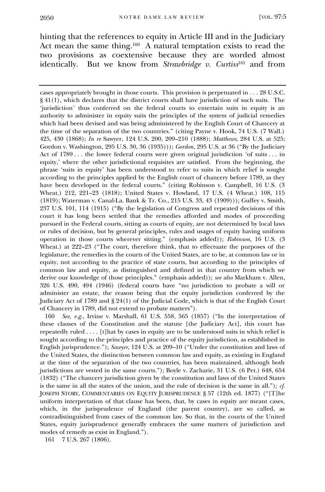hinting that the references to equity in Article III and in the Judiciary Act mean the same thing.<sup>160</sup> A natural temptation exists to read the two provisions as coextensive because they are worded almost identically. But we know from *Strawbridge v. Curtiss*<sup>161</sup> and from

cases appropriately brought in those courts. This provision is perpetuated in . . . 28 U.S.C. § 41(1), which declares that the district courts shall have jurisdiction of such suits. The 'jurisdiction' thus conferred on the federal courts to entertain suits in equity is an authority to administer in equity suits the principles of the system of judicial remedies which had been devised and was being administered by the English Court of Chancery at the time of the separation of the two countries." (citing Payne v. Hook, 74 U.S. (7 Wall.) 425, 430 (1868); *In re* Sawyer, 124 U.S. 200, 209–210 (1888); *Matthews*, 284 U.S. at 525; Gordon v. Washington, 295 U.S. 30, 36 (1935))); *Gordon*, 295 U.S. at 36 ("By the Judiciary Act of 1789 ... the lower federal courts were given original jurisdiction 'of suits ... in equity,' where the other jurisdictional requisites are satisfied. From the beginning, the phrase 'suits in equity' has been understood to refer to suits in which relief is sought according to the principles applied by the English court of chancery before 1789, as they have been developed in the federal courts." (citing Robinson v. Campbell, 16 U.S. (3 Wheat.) 212, 221–23 (1818); United States v. Howland, 17 U.S. (4 Wheat.) 108, 115 (1819); Waterman v. Canal-La. Bank & Tr. Co., 215 U.S. 33, 43 (1909))); Guffey v. Smith, 237 U.S. 101, 114 (1915) ("By the legislation of Congress and repeated decisions of this court it has long been settled that the remedies afforded and modes of proceeding pursued in the Federal courts, sitting as courts of equity, are not determined by local laws or rules of decision, but by general principles, rules and usages of equity having uniform operation in those courts wherever sitting." (emphasis added)); *Robinson*, 16 U.S. (3 Wheat.) at 222–23 ("The court, therefore think, that to effectuate the purposes of the legislature, the remedies in the courts of the United States, are to be, at common law or in equity, not according to the practice of state courts, but according to the principles of common law and equity, as distinguished and defined in that country from which we derive our knowledge of those principles." (emphasis added)); *see also* Markham v. Allen, 326 U.S. 490, 494 (1946) (federal courts have "no jurisdiction to probate a will or administer an estate, the reason being that the equity jurisdiction conferred by the Judiciary Act of 1789 and § 24(1) of the Judicial Code, which is that of the English Court of Chancery in 1789, did not extend to probate matters").

160 *See, e.g.*, Irvine v. Marshall, 61 U.S. 558, 565 (1857) ("In the interpretation of these clauses of the Constitution and the statute [the Judiciary Act], this court has repeatedly ruled . . . . [t]hat by cases in equity are to be understood suits in which relief is sought according to the principles and practice of the equity jurisdiction, as established in English jurisprudence."); *Sawyer*, 124 U.S. at 209–10 ("Under the constitution and laws of the United States, the distinction between common law and equity, as existing in England at the time of the separation of the two countries, has been maintained, although both jurisdictions are vested in the same courts."); Boyle v. Zacharie, 31 U.S. (6 Pet.) 648, 654 (1832) ("The chancery jurisdiction given by the constitution and laws of the United States is the same in all the states of the union, and the rule of decision is the same in all."); *cf.* JOSEPH STORY, COMMENTARIES ON EQUITY JURISPRUDENCE § 57 (12th ed. 1877) ("[T]he uniform interpretation of that clause has been, that, by cases in equity are meant cases, which, in the jurisprudence of England (the parent country), are so called, as contradistinguished from cases of the common law. So that, in the courts of the United States, equity jurisprudence generally embraces the same matters of jurisdiction and modes of remedy as exist in England.").

161 7 U.S. 267 (1806).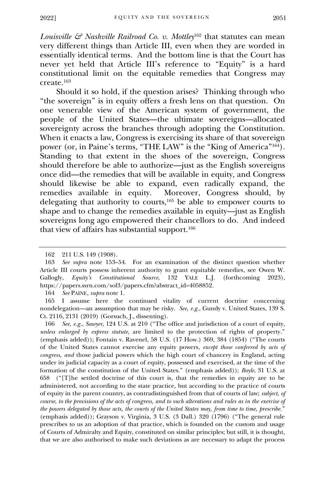*Louisville & Nashville Railroad Co. v. Mottley*<sup>162</sup> that statutes can mean very different things than Article III, even when they are worded in essentially identical terms. And the bottom line is that the Court has never yet held that Article III's reference to "Equity" is a hard constitutional limit on the equitable remedies that Congress may create.<sup>163</sup>

Should it so hold, if the question arises? Thinking through who "the sovereign" is in equity offers a fresh lens on that question. On one venerable view of the American system of government, the people of the United States—the ultimate sovereigns—allocated sovereignty across the branches through adopting the Constitution. When it enacts a law, Congress is exercising its share of that sovereign power (or, in Paine's terms, "THE LAW" is the "King of America" <sup>164</sup>). Standing to that extent in the shoes of the sovereign, Congress should therefore be able to authorize—just as the English sovereigns once did—the remedies that will be available in equity, and Congress should likewise be able to expand, even radically expand, the remedies available in equity. Moreover, Congress should, by Moreover, Congress should, by delegating that authority to courts,<sup>165</sup> be able to empower courts to shape and to change the remedies available in equity—just as English sovereigns long ago empowered their chancellors to do. And indeed that view of affairs has substantial support.<sup>166</sup>

164 *See* PAINE, *supra* note 1.

166 *See, e.g.*, *Sawyer*, 124 U.S. at 210 ("The office and jurisdiction of a court of equity, *unless enlarged by express statute*, are limited to the protection of rights of property." (emphasis added)); Fontain v. Ravenel, 58 U.S. (17 How.) 369, 384 (1854) ("The courts of the United States cannot exercise any equity powers, *except those conferred by acts of congress, and* those judicial powers which the high court of chancery in England, acting under its judicial capacity as a court of equity, possessed and exercised, at the time of the formation of the constitution of the United States." (emphasis added)); *Boyle*, 31 U.S. at 658 ("[T]he settled doctrine of this court is, that the remedies in equity are to be administered, not according to the state practice, but according to the practice of courts of equity in the parent country, as contradistinguished from that of courts of law; *subject, of course, to the provisions of the acts of congress, and to such alterations and rules as in the exercise of the powers delegated by those acts, the courts of the United States may, from time to time, prescribe.*" (emphasis added)); Grayson v. Virginia, 3 U.S. (3 Dall.) 320 (1796) ("The general rule prescribes to us an adoption of that practice, which is founded on the custom and usage of Courts of Admiralty and Equity, constituted on similar principles; but still, it is thought, that we are also authorised to make such deviations as are necessary to adapt the process

<sup>162</sup> 211 U.S. 149 (1908).

<sup>163</sup> *See supra* note 153–54. For an examination of the distinct question whether Article III courts possess inherent authority to grant equitable remedies, see Owen W. Gallogly, *Equity's Constitutional Source*, 132 YALE L.J. (forthcoming 2023), https://papers.ssrn.com/sol3/papers.cfm?abstract\_id=4058852.

<sup>165</sup> I assume here the continued vitality of current doctrine concerning nondelegation—an assumption that may be risky. *See, e.g.*, Gundy v. United States, 139 S. Ct. 2116, 2131 (2019) (Gorsuch, J., dissenting).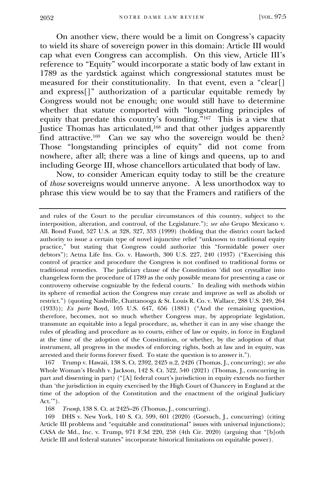On another view, there would be a limit on Congress's capacity to wield its share of sovereign power in this domain: Article III would cap what even Congress can accomplish. On this view, Article III's reference to "Equity" would incorporate a static body of law extant in 1789 as the yardstick against which congressional statutes must be measured for their constitutionality. In that event, even a "clear[] and express[]" authorization of a particular equitable remedy by Congress would not be enough; one would still have to determine whether that statute comported with "longstanding principles of equity that predate this country's founding." 167 This is a view that Justice Thomas has articulated,<sup>168</sup> and that other judges apparently find attractive.<sup>169</sup> Can we say who the sovereign would be then? Those "longstanding principles of equity" did not come from nowhere, after all; there was a line of kings and queens, up to and including George III, whose chancellors articulated that body of law.

Now, to consider American equity today to still be the creature of *those* sovereigns would unnerve anyone. A less unorthodox way to phrase this view would be to say that the Framers and ratifiers of the

167 Trump v. Hawaii, 138 S. Ct. 2392, 2425 n.2, 2426 (Thomas, J., concurring); *see also* Whole Woman's Health v. Jackson, 142 S. Ct. 522, 540 (2021) (Thomas, J., concurring in part and dissenting in part) ("[A] federal court's jurisdiction in equity extends no further than 'the jurisdiction in equity exercised by the High Court of Chancery in England at the time of the adoption of the Constitution and the enactment of the original Judiciary Act.'").

168 *Trump*, 138 S. Ct. at 2425–26 (Thomas, J., concurring).

169 DHS v. New York, 140 S. Ct. 599, 601 (2020) (Gorsuch, J., concurring) (citing Article III problems and "equitable and constitutional" issues with universal injunctions); CASA de Md., Inc. v. Trump, 971 F.3d 220, 258 (4th Cir. 2020) (arguing that "[b]oth Article III and federal statutes" incorporate historical limitations on equitable power).

and rules of the Court to the peculiar circumstances of this country, subject to the interposition, alteration, and controul, of the Legislature."); *see also* Grupo Mexicano v. All. Bond Fund, 527 U.S. at 328, 327, 333 (1999) (holding that the district court lacked authority to issue a certain type of novel injunctive relief "unknown to traditional equity practice," but stating that Congress could authorize this "formidable power over debtors"); Aetna Life Ins. Co. v. Haworth, 300 U.S. 227, 240 (1937) ("Exercising this control of practice and procedure the Congress is not confined to traditional forms or traditional remedies. The judiciary clause of the Constitution 'did not crystallize into changeless form the procedure of 1789 as the only possible means for presenting a case or controversy otherwise cognizable by the federal courts.' In dealing with methods within its sphere of remedial action the Congress may create and improve as well as abolish or restrict.") (quoting Nashville, Chattanooga & St. Louis R. Co. v. Wallace, 288 U.S. 249, 264 (1933)); *Ex parte* Boyd, 105 U.S. 647, 656 (1881) ("And the remaining question, therefore, becomes, not so much whether Congress may, by appropriate legislation, transmute an equitable into a legal procedure, as, whether it can in any wise change the rules of pleading and procedure as to courts, either of law or equity, in force in England at the time of the adoption of the Constitution, or whether, by the adoption of that instrument, all progress in the modes of enforcing rights, both at law and in equity, was arrested and their forms forever fixed. To state the question is to answer it.").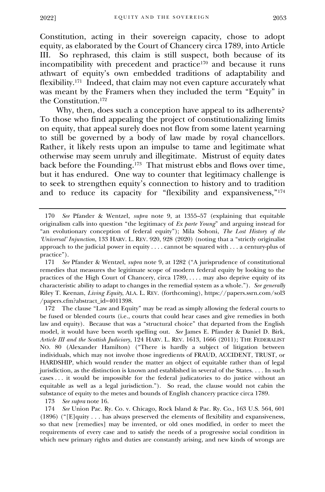Constitution, acting in their sovereign capacity, chose to adopt equity, as elaborated by the Court of Chancery circa 1789, into Article III. So rephrased, this claim is still suspect, both because of its III. So rephrased, this claim is still suspect, both because of its incompatibility with precedent and practice<sup>170</sup> and because it runs athwart of equity's own embedded traditions of adaptability and flexibility.<sup>171</sup> Indeed, that claim may not even capture accurately what was meant by the Framers when they included the term "Equity" in the Constitution.<sup>172</sup>

Why, then, does such a conception have appeal to its adherents? To those who find appealing the project of constitutionalizing limits on equity, that appeal surely does not flow from some latent yearning to still be governed by a body of law made by royal chancellors. Rather, it likely rests upon an impulse to tame and legitimate what otherwise may seem unruly and illegitimate. Mistrust of equity dates back before the Founding.<sup>173</sup> That mistrust ebbs and flows over time, but it has endured. One way to counter that legitimacy challenge is to seek to strengthen equity's connection to history and to tradition and to reduce its capacity for "flexibility and expansiveness," 174

172 The clause "Law and Equity" may be read as simply allowing the federal courts to be fused or blended courts (i.e., courts that could hear cases and give remedies in both law and equity). Because that was a "structural choice" that departed from the English model, it would have been worth spelling out. *See* James E. Pfander & Daniel D. Birk, *Article III and the Scottish Judiciary*, 124 HARV. L. REV. 1613, 1666 (2011); THE FEDERALIST NO. 80 (Alexander Hamilton) ("There is hardly a subject of litigation between individuals, which may not involve those ingredients of FRAUD, ACCIDENT, TRUST, or HARDSHIP, which would render the matter an object of equitable rather than of legal jurisdiction, as the distinction is known and established in several of the States. . . . In such cases . . . it would be impossible for the federal judicatories to do justice without an equitable as well as a legal jurisdiction."). So read, the clause would not cabin the substance of equity to the metes and bounds of English chancery practice circa 1789.

173 *See supra* note 16.

174 *See* Union Pac. Ry. Co. v. Chicago, Rock Island & Pac. Ry. Co., 163 U.S. 564, 601 (1896) ("[E]quity . . . has always preserved the elements of flexibility and expansiveness, so that new [remedies] may be invented, or old ones modified, in order to meet the requirements of every case and to satisfy the needs of a progressive social condition in which new primary rights and duties are constantly arising, and new kinds of wrongs are

<sup>170</sup> *See* Pfander & Wentzel, *supra* note 9, at 1355–57 (explaining that equitable originalism calls into question "the legitimacy of *Ex parte Young*" and arguing instead for "an evolutionary conception of federal equity"); Mila Sohoni, *The Lost History of the 'Universal' Injunction*, 133 HARV. L. REV. 920, 928 (2020) (noting that a "strictly originalist approach to the judicial power in equity . . . . cannot be squared with . . . a century-plus of practice").

<sup>171</sup> *See* Pfander & Wentzel, *supra* note 9, at 1282 ("A jurisprudence of constitutional remedies that measures the legitimate scope of modern federal equity by looking to the practices of the High Court of Chancery, circa 1789, . . . . may also deprive equity of its characteristic ability to adapt to changes in the remedial system as a whole."). *See generally* Riley T. Keenan, *Living Equity*, ALA. L. REV. (forthcoming), https://papers.ssrn.com/sol3 /papers.cfm?abstract\_id=4011398.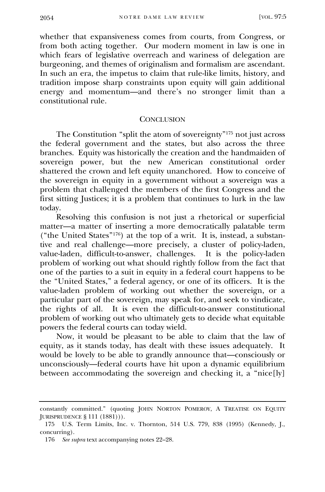whether that expansiveness comes from courts, from Congress, or from both acting together. Our modern moment in law is one in which fears of legislative overreach and wariness of delegation are burgeoning, and themes of originalism and formalism are ascendant. In such an era, the impetus to claim that rule-like limits, history, and tradition impose sharp constraints upon equity will gain additional energy and momentum—and there's no stronger limit than a constitutional rule.

#### **CONCLUSION**

<span id="page-35-0"></span>The Constitution "split the atom of sovereignty" <sup>175</sup> not just across the federal government and the states, but also across the three branches. Equity was historically the creation and the handmaiden of sovereign power, but the new American constitutional order shattered the crown and left equity unanchored. How to conceive of the sovereign in equity in a government without a sovereign was a problem that challenged the members of the first Congress and the first sitting Justices; it is a problem that continues to lurk in the law today.

Resolving this confusion is not just a rhetorical or superficial matter—a matter of inserting a more democratically palatable term ("the United States"<sup>176</sup>) at the top of a writ. It is, instead, a substantive and real challenge—more precisely, a cluster of policy-laden, value-laden, difficult-to-answer, challenges. It is the policy-laden problem of working out what should rightly follow from the fact that one of the parties to a suit in equity in a federal court happens to be the "United States," a federal agency, or one of its officers. It is the value-laden problem of working out whether the sovereign, or a particular part of the sovereign, may speak for, and seek to vindicate, the rights of all. It is even the difficult-to-answer constitutional problem of working out who ultimately gets to decide what equitable powers the federal courts can today wield.

Now, it would be pleasant to be able to claim that the law of equity, as it stands today, has dealt with these issues adequately. It would be lovely to be able to grandly announce that—consciously or unconsciously—federal courts have hit upon a dynamic equilibrium between accommodating the sovereign and checking it, a "nice[ly]

constantly committed." (quoting JOHN NORTON POMEROY, A TREATISE ON EQUITY JURISPRUDENCE § 111 (1881))).

<sup>175</sup> U.S. Term Limits, Inc. v. Thornton, 514 U.S. 779, 838 (1995) (Kennedy, J., concurring).

<sup>176</sup> *See supra* text accompanying notes 22–28.